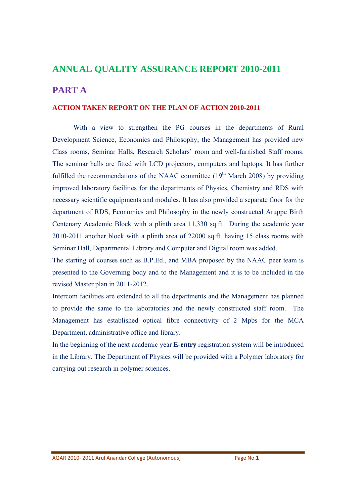# **ANNUAL QUALITY ASSURANCE REPORT 2010-2011**

# **PART A**

#### **ACTION TAKEN REPORT ON THE PLAN OF ACTION 2010-2011**

 With a view to strengthen the PG courses in the departments of Rural Development Science, Economics and Philosophy, the Management has provided new Class rooms, Seminar Halls, Research Scholars' room and well-furnished Staff rooms. The seminar halls are fitted with LCD projectors, computers and laptops. It has further fulfilled the recommendations of the NAAC committee  $(19<sup>th</sup> March 2008)$  by providing improved laboratory facilities for the departments of Physics, Chemistry and RDS with necessary scientific equipments and modules. It has also provided a separate floor for the department of RDS, Economics and Philosophy in the newly constructed Aruppe Birth Centenary Academic Block with a plinth area 11,330 sq.ft. During the academic year 2010-2011 another block with a plinth area of 22000 sq.ft. having 15 class rooms with Seminar Hall, Departmental Library and Computer and Digital room was added.

The starting of courses such as B.P.Ed., and MBA proposed by the NAAC peer team is presented to the Governing body and to the Management and it is to be included in the revised Master plan in 2011-2012.

Intercom facilities are extended to all the departments and the Management has planned to provide the same to the laboratories and the newly constructed staff room. The Management has established optical fibre connectivity of 2 Mpbs for the MCA Department, administrative office and library.

In the beginning of the next academic year **E-entry** registration system will be introduced in the Library. The Department of Physics will be provided with a Polymer laboratory for carrying out research in polymer sciences.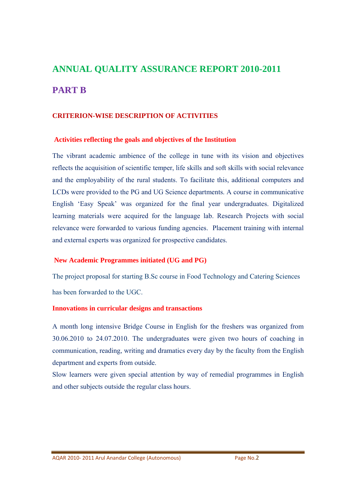# **ANNUAL QUALITY ASSURANCE REPORT 2010-2011 PART B**

### **CRITERION-WISE DESCRIPTION OF ACTIVITIES**

#### **Activities reflecting the goals and objectives of the Institution**

The vibrant academic ambience of the college in tune with its vision and objectives reflects the acquisition of scientific temper, life skills and soft skills with social relevance and the employability of the rural students. To facilitate this, additional computers and LCDs were provided to the PG and UG Science departments. A course in communicative English 'Easy Speak' was organized for the final year undergraduates. Digitalized learning materials were acquired for the language lab. Research Projects with social relevance were forwarded to various funding agencies. Placement training with internal and external experts was organized for prospective candidates.

#### **New Academic Programmes initiated (UG and PG)**

The project proposal for starting B.Sc course in Food Technology and Catering Sciences has been forwarded to the UGC.

#### **Innovations in curricular designs and transactions**

A month long intensive Bridge Course in English for the freshers was organized from 30.06.2010 to 24.07.2010. The undergraduates were given two hours of coaching in communication, reading, writing and dramatics every day by the faculty from the English department and experts from outside.

Slow learners were given special attention by way of remedial programmes in English and other subjects outside the regular class hours.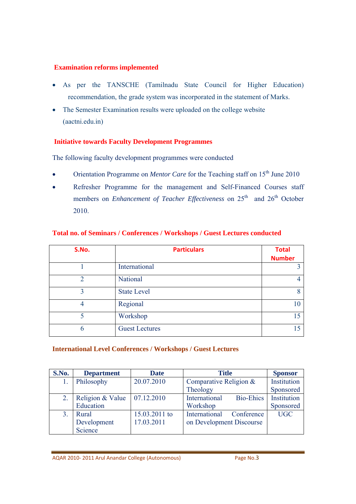#### **Examination reforms implemented**

- As per the TANSCHE (Tamilnadu State Council for Higher Education) recommendation, the grade system was incorporated in the statement of Marks.
- The Semester Examination results were uploaded on the college website (aactni.edu.in)

### **Initiative towards Faculty Development Programmes**

The following faculty development programmes were conducted

- Orientation Programme on *Mentor Care* for the Teaching staff on 15<sup>th</sup> June 2010
- Refresher Programme for the management and Self-Financed Courses staff members on *Enhancement of Teacher Effectiveness* on 25<sup>th</sup> and 26<sup>th</sup> October 2010.

| S.No. | <b>Particulars</b>    | <b>Total</b>  |
|-------|-----------------------|---------------|
|       |                       | <b>Number</b> |
|       | International         |               |
| ∍     | National              |               |
|       | <b>State Level</b>    |               |
|       | Regional              | 10            |
| 5     | Workshop              | 15            |
|       | <b>Guest Lectures</b> |               |

### **Total no. of Seminars / Conferences / Workshops / Guest Lectures conducted**

#### **International Level Conferences / Workshops / Guest Lectures**

| S.No. | <b>Department</b> | <b>Date</b>   | <b>Title</b>                | <b>Sponsor</b> |
|-------|-------------------|---------------|-----------------------------|----------------|
|       | Philosophy        | 20.07.2010    | Comparative Religion $&$    | Institution    |
|       |                   |               | Theology                    | Sponsored      |
|       | Religion & Value  | 07.12.2010    | International<br>Bio-Ehics  | Institution    |
|       | Education         |               | Workshop                    | Sponsored      |
|       | Rural             | 15.03.2011 to | International<br>Conference | <b>UGC</b>     |
|       | Development       | 17.03.2011    | on Development Discourse    |                |
|       | Science           |               |                             |                |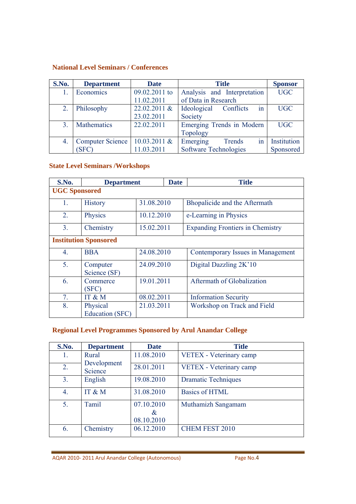#### **National Level Seminars / Conferences**

| S.No.          | <b>Department</b>       | <b>Date</b>     | <b>Title</b>                   | <b>Sponsor</b> |
|----------------|-------------------------|-----------------|--------------------------------|----------------|
|                | Economics               | 09.02.2011 to   | Analysis and Interpretation    | <b>UGC</b>     |
|                |                         | 11.02.2011      | of Data in Research            |                |
| 2.             | Philosophy              | 22.02.2011 &    | in<br>Ideological<br>Conflicts | UGC            |
|                |                         | 23.02.2011      | Society                        |                |
| 3 <sub>1</sub> | Mathematics             | 22.02.2011      | Emerging Trends in Modern      | <b>UGC</b>     |
|                |                         |                 | Topology                       |                |
| 4.             | <b>Computer Science</b> | $10.03.2011 \&$ | Emerging<br>Trends<br>1n       | Institution    |
|                | (SFC)                   | 11.03.2011      | Software Technologies          | Sponsored      |

# **State Level Seminars /Workshops**

| S.No.                | <b>Department</b>                  |            | <b>Date</b> | <b>Title</b>                            |
|----------------------|------------------------------------|------------|-------------|-----------------------------------------|
| <b>UGC Sponsored</b> |                                    |            |             |                                         |
| 1.                   | <b>History</b>                     | 31.08.2010 |             | Bhopalicide and the Aftermath           |
| 2.                   | Physics                            | 10.12.2010 |             | e-Learning in Physics                   |
| 3 <sub>1</sub>       | Chemistry                          | 15.02.2011 |             | <b>Expanding Frontiers in Chemistry</b> |
|                      | <b>Institution Sponsored</b>       |            |             |                                         |
| 4.                   | <b>BBA</b>                         | 24.08.2010 |             | Contemporary Issues in Management       |
| 5.                   | Computer<br>Science (SF)           | 24.09.2010 |             | Digital Dazzling 2K'10                  |
| 6.                   | Commerce<br>(SFC)                  | 19.01.2011 |             | Aftermath of Globalization              |
| 7.                   | IT & M                             | 08.02.2011 |             | <b>Information Security</b>             |
| 8.                   | Physical<br><b>Education (SFC)</b> | 21.03.2011 |             | Workshop on Track and Field             |

#### **Regional Level Programmes Sponsored by Arul Anandar College**

| S.No.          | <b>Department</b>      | <b>Date</b>                   | <b>Title</b>               |
|----------------|------------------------|-------------------------------|----------------------------|
| 1.             | Rural                  | 11.08.2010                    | VETEX - Veterinary camp    |
| 2.             | Development<br>Science | 28.01.2011                    | VETEX - Veterinary camp    |
| 3 <sub>1</sub> | English                | 19.08.2010                    | <b>Dramatic Techniques</b> |
| 4.             | IT & M                 | 31.08.2010                    | <b>Basics of HTML</b>      |
| 5.             | Tamil                  | 07.10.2010<br>&<br>08.10.2010 | Muthamizh Sangamam         |
| 6.             | Chemistry              | 06.12.2010                    | <b>CHEM FEST 2010</b>      |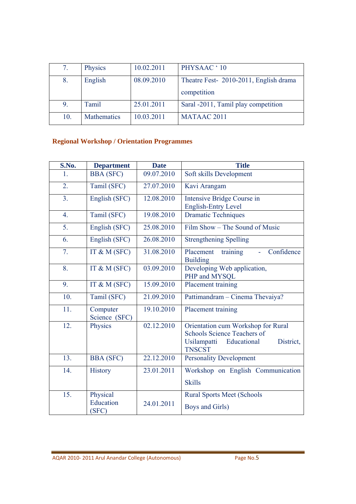| 7.  | Physics     | 10.02.2011 | PHYSAAC ' 10                           |
|-----|-------------|------------|----------------------------------------|
| 8.  | English     | 08.09.2010 | Theatre Fest- 2010-2011, English drama |
|     |             |            | competition                            |
| 9.  | Tamil       | 25.01.2011 | Saral -2011, Tamil play competition    |
| 10. | Mathematics | 10.03.2011 | MATAAC 2011                            |

# **Regional Workshop / Orientation Programmes**

| S.No.            | <b>Department</b>         | <b>Date</b> | <b>Title</b>                                                                                                                         |  |  |
|------------------|---------------------------|-------------|--------------------------------------------------------------------------------------------------------------------------------------|--|--|
| 1.               | <b>BBA</b> (SFC)          | 09.07.2010  | Soft skills Development                                                                                                              |  |  |
| 2.               | Tamil (SFC)               | 27.07.2010  | Kavi Arangam                                                                                                                         |  |  |
| 3 <sub>1</sub>   | English (SFC)             | 12.08.2010  | Intensive Bridge Course in<br><b>English-Entry Level</b>                                                                             |  |  |
| $\overline{4}$ . | Tamil (SFC)               | 19.08.2010  | <b>Dramatic Techniques</b>                                                                                                           |  |  |
| 5.               | English (SFC)             | 25.08.2010  | Film Show – The Sound of Music                                                                                                       |  |  |
| 6.               | English (SFC)             | 26.08.2010  | <b>Strengthening Spelling</b>                                                                                                        |  |  |
| $\overline{7}$ . | IT & M $(SFC)$            | 31.08.2010  | Confidence<br>Placement<br>training<br><b>Building</b>                                                                               |  |  |
| 8.               | IT & M $(SFC)$            | 03.09.2010  | Developing Web application,<br>PHP and MYSQL                                                                                         |  |  |
| 9.               | IT & M $(SFC)$            | 15.09.2010  | Placement training                                                                                                                   |  |  |
| 10.              | Tamil (SFC)               | 21.09.2010  | Pattimandram - Cinema Thevaiya?                                                                                                      |  |  |
| 11.              | Computer<br>Science (SFC) | 19.10.2010  | Placement training                                                                                                                   |  |  |
| 12.              | Physics                   | 02.12.2010  | Orientation cum Workshop for Rural<br><b>Schools Science Teachers of</b><br>Usilampatti<br>Educational<br>District,<br><b>TNSCST</b> |  |  |
| 13.              | <b>BBA</b> (SFC)          | 22.12.2010  | <b>Personality Development</b>                                                                                                       |  |  |
| 14.              | <b>History</b>            | 23.01.2011  | Workshop on English Communication                                                                                                    |  |  |
|                  |                           |             | <b>Skills</b>                                                                                                                        |  |  |
| 15.              | Physical                  |             | <b>Rural Sports Meet (Schools</b>                                                                                                    |  |  |
|                  | Education<br>(SFC)        | 24.01.2011  | Boys and Girls)                                                                                                                      |  |  |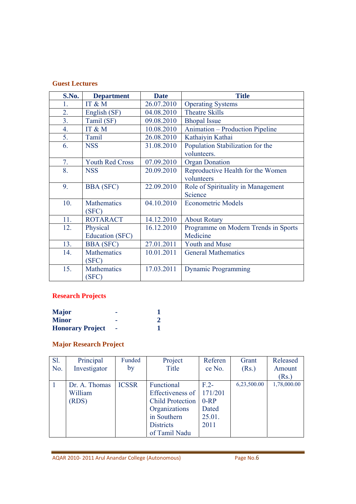#### **Guest Lectures**

| S.No. | <b>Department</b>      | <b>Date</b> | <b>Title</b>                         |
|-------|------------------------|-------------|--------------------------------------|
| 1.    | IT & M                 | 26.07.2010  | <b>Operating Systems</b>             |
| 2.    | English (SF)           | 04.08.2010  | <b>Theatre Skills</b>                |
| 3.    | Tamil (SF)             | 09.08.2010  | <b>Bhopal Issue</b>                  |
| 4.    | IT & M                 | 10.08.2010  | Animation – Production Pipeline      |
| 5.    | Tamil                  | 26.08.2010  | Kathaiyin Kathai                     |
| 6.    | <b>NSS</b>             | 31.08.2010  | Population Stabilization for the     |
|       |                        |             | volunteers.                          |
| 7.    | <b>Youth Red Cross</b> | 07.09.2010  | <b>Organ Donation</b>                |
| 8.    | <b>NSS</b>             | 20.09.2010  | Reproductive Health for the Women    |
|       |                        |             | volunteers                           |
| 9.    | <b>BBA</b> (SFC)       | 22.09.2010  | Role of Spirituality in Management   |
|       |                        |             | Science                              |
| 10.   | <b>Mathematics</b>     | 04.10.2010  | <b>Econometric Models</b>            |
|       | (SFC)                  |             |                                      |
| 11.   | <b>ROTARACT</b>        | 14.12.2010  | <b>About Rotary</b>                  |
| 12.   | Physical               | 16.12.2010  | Programme on Modern Trends in Sports |
|       | Education (SFC)        |             | Medicine                             |
| 13.   | <b>BBA</b> (SFC)       | 27.01.2011  | <b>Youth and Muse</b>                |
| 14.   | <b>Mathematics</b>     | 10.01.2011  | <b>General Mathematics</b>           |
|       | (SFC)                  |             |                                      |
| 15.   | <b>Mathematics</b>     | 17.03.2011  | <b>Dynamic Programming</b>           |
|       | (SFC)                  |             |                                      |

# **Research Projects**

| <b>Major</b>            |  |
|-------------------------|--|
| <b>Minor</b>            |  |
| <b>Honorary Project</b> |  |

# **Major Research Project**

| <b>S1.</b> | Principal     | Funded       | Project                 | Referen        | Grant       | Released    |
|------------|---------------|--------------|-------------------------|----------------|-------------|-------------|
| No.        | Investigator  | by           | Title                   | ce No.         | (Rs.)       | Amount      |
|            |               |              |                         |                |             | (Rs.)       |
|            | Dr. A. Thomas | <b>ICSSR</b> | Functional              | F <sub>2</sub> | 6,23,500.00 | 1,78,000.00 |
|            | William       |              | Effectiveness of        | 171/201        |             |             |
|            | (RDS)         |              | <b>Child Protection</b> | $0-RP$         |             |             |
|            |               |              | Organizations           | Dated          |             |             |
|            |               |              | in Southern             | 25.01.         |             |             |
|            |               |              | <b>Districts</b>        | 2011           |             |             |
|            |               |              | of Tamil Nadu           |                |             |             |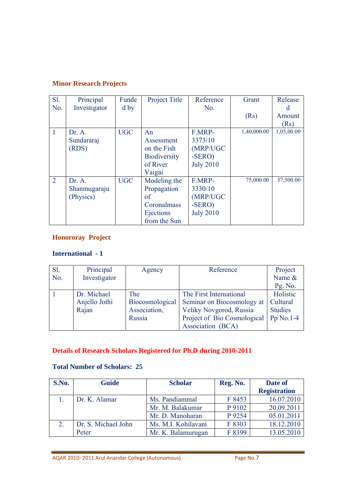# **Minor Research Projects**

| SI.            | Principal    | Funde      | Project Title       | Reference        | Grant       | Release    |
|----------------|--------------|------------|---------------------|------------------|-------------|------------|
| No.            | Investigator | $d$ by     |                     | No.              |             | d          |
|                |              |            |                     |                  | (Rs)        | Amount     |
|                |              |            |                     |                  |             | (Rs)       |
| 1              | Dr. A.       | <b>UGC</b> | An                  | F.MRP-           | 1,40,000.00 | 1,05,00.00 |
|                | Sundararaj   |            | Assessment          | 3373/10          |             |            |
|                | (RDS)        |            | on the Fish         | (MRP/UGC         |             |            |
|                |              |            | <b>Biodiversity</b> | $-SERO$ )        |             |            |
|                |              |            | of River            | <b>July 2010</b> |             |            |
|                |              |            | Vaigai              |                  |             |            |
| $\overline{2}$ | Dr. A.       | <b>UGC</b> | Modeling the        | F.MRP-           | 75,000.00   | 57,500.00  |
|                | Shanmugaraju |            | Propagation         | 3330/10          |             |            |
|                | (Physics)    |            | of                  | (MRP/UGC         |             |            |
|                |              |            | Coronalmass         | $-SERO$ )        |             |            |
|                |              |            | Ejections           | <b>July 2010</b> |             |            |
|                |              |            | from the Sun        |                  |             |            |

### **Honororay Project**

# **International - 1**

| Sl. | Principal     | Agency          | Reference                   | Project        |
|-----|---------------|-----------------|-----------------------------|----------------|
| No. | Investigator  |                 |                             | Name &         |
|     |               |                 |                             | Pg. No.        |
|     | Dr. Michael   | The             | The First International     | Holistic       |
|     | Anjello Jothi | Biocosmological | Seminar on Biocosmology at  | Cultural       |
|     | Rajan         | Association,    | Veliky Novgorod, Russia     | <b>Studies</b> |
|     |               | Russia          | Project of Bio Cosmological | Pp $No.1-4$    |
|     |               |                 | Association (BCA)           |                |

# **Details of Research Scholars Registered for Ph.D during 2010-2011**

# **Total Number of Scholars: 25**

| S.No. | <b>Guide</b>        | <b>Scholar</b>      | Reg. No. | Date of             |
|-------|---------------------|---------------------|----------|---------------------|
|       |                     |                     |          | <b>Registration</b> |
|       | Dr. K. Alamar       | Ms. Pandiammal      | F 8453   | 16.07.2010          |
|       |                     | Mr. M. Balakumar    | P 9102   | 20.09.2011          |
|       |                     | Mr. D. Manoharan    | P 9254   | 05.01.2011          |
| 2.    | Dr. S. Michael John | Ms. M.I. Kohilavani | F 8303   | 18.12.2010          |
|       | Peter               | Mr. K. Balamurugan  | F 8399   | 13.05.2010          |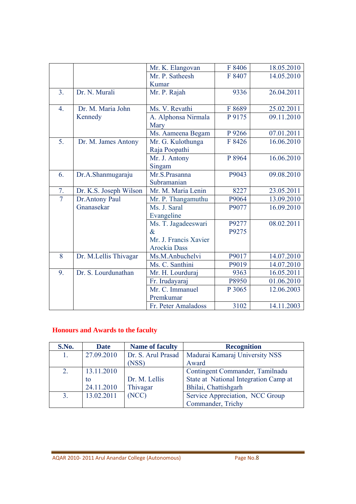|                  |                        | Mr. K. Elangovan      | F 8406 | 18.05.2010 |
|------------------|------------------------|-----------------------|--------|------------|
|                  |                        | Mr. P. Satheesh       | F 8407 | 14.05.2010 |
|                  |                        | Kumar                 |        |            |
| 3 <sub>1</sub>   | Dr. N. Murali          | Mr. P. Rajah          | 9336   | 26.04.2011 |
|                  |                        |                       |        |            |
| $\overline{4}$ . | Dr. M. Maria John      | Ms. V. Revathi        | F 8689 | 25.02.2011 |
|                  | Kennedy                | A. Alphonsa Nirmala   | P 9175 | 09.11.2010 |
|                  |                        | Mary                  |        |            |
|                  |                        | Ms. Aameena Begam     | P 9266 | 07.01.2011 |
| 5.               | Dr. M. James Antony    | Mr. G. Kulothunga     | F 8426 | 16.06.2010 |
|                  |                        | Raja Poopathi         |        |            |
|                  |                        | Mr. J. Antony         | P 8964 | 16.06.2010 |
|                  |                        | Singam                |        |            |
| 6.               | Dr.A.Shanmugaraju      | Mr.S.Prasanna         | P9043  | 09.08.2010 |
|                  |                        | Subramanian           |        |            |
| 7.               | Dr. K.S. Joseph Wilson | Mr. M. Maria Lenin    | 8227   | 23.05.2011 |
| $\overline{7}$   | Dr.Antony Paul         | Mr. P. Thangamuthu    | P9064  | 13.09.2010 |
|                  | Gnanasekar             | Ms. J. Saral          | P9077  | 16.09.2010 |
|                  |                        | Evangeline            |        |            |
|                  |                        | Ms. T. Jagadeeswari   | P9277  | 08.02.2011 |
|                  |                        | $\&$                  | P9275  |            |
|                  |                        | Mr. J. Francis Xavier |        |            |
|                  |                        | <b>Arockia</b> Dass   |        |            |
| 8                | Dr. M.Lellis Thivagar  | Ms.M.Anbuchelvi       | P9017  | 14.07.2010 |
|                  |                        | Ms. C. Santhini       | P9019  | 14.07.2010 |
|                  |                        |                       |        |            |
| 9.               | Dr. S. Lourdunathan    | Mr. H. Lourduraj      | 9363   | 16.05.2011 |
|                  |                        | Fr. Irudayaraj        | P8950  | 01.06.2010 |
|                  |                        | Mr. C. Immanuel       | P 3065 | 12.06.2003 |
|                  |                        | Premkumar             | 3102   | 14.11.2003 |

# **Honours and Awards to the faculty**

| S.No.          | <b>Date</b> | <b>Name of faculty</b> | <b>Recognition</b>                    |
|----------------|-------------|------------------------|---------------------------------------|
| 1.             | 27.09.2010  | Dr. S. Arul Prasad     | Madurai Kamaraj University NSS        |
|                |             | (NSS)                  | Award                                 |
| 2.             | 13.11.2010  |                        | Contingent Commander, Tamilnadu       |
|                | to          | Dr. M. Lellis          | State at National Integration Camp at |
|                | 24.11.2010  | Thivagar               | Bhilai, Chattishgarh                  |
| 3 <sub>1</sub> | 13.02.2011  | (NCC)                  | Service Appreciation, NCC Group       |
|                |             |                        | Commander, Trichy                     |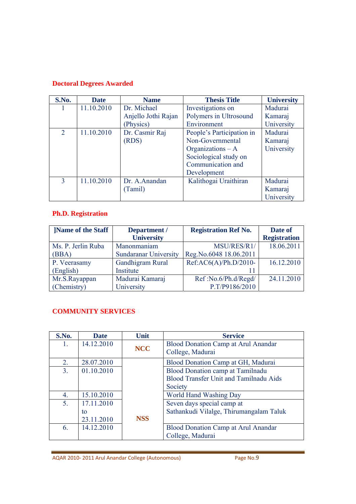# **Doctoral Degrees Awarded**

| S.No.          | <b>Date</b> | <b>Name</b>         | <b>Thesis Title</b>       | <b>University</b> |
|----------------|-------------|---------------------|---------------------------|-------------------|
|                | 11.10.2010  | Dr. Michael         | Investigations on         | Madurai           |
|                |             | Anjello Jothi Rajan | Polymers in Ultrosound    | Kamaraj           |
|                |             | (Physics)           | Environment               | University        |
| $\overline{2}$ | 11.10.2010  | Dr. Casmir Raj      | People's Participation in | Madurai           |
|                |             | (RDS)               | Non-Governmental          | Kamaraj           |
|                |             |                     | Organizations $- A$       | University        |
|                |             |                     | Sociological study on     |                   |
|                |             |                     | Communication and         |                   |
|                |             |                     | Development               |                   |
| 3              | 11.10.2010  | Dr. A.Anandan       | Kalithogai Uraithiran     | Madurai           |
|                |             | (Tamil)             |                           | Kamaraj           |
|                |             |                     |                           | University        |

# **Ph.D. Registration**

| <b>Name of the Staff</b> | Department /                 | <b>Registration Ref No.</b> | Date of             |
|--------------------------|------------------------------|-----------------------------|---------------------|
|                          | <b>University</b>            |                             | <b>Registration</b> |
| Ms. P. Jerlin Ruba       | Manonmaniam                  | MSU/RES/R1/                 | 18.06.2011          |
| (BBA)                    | <b>Sundaranar University</b> | Reg.No.6048 18.06.2011      |                     |
| P. Veerasamy             | Gandhigram Rural             | Ref:AC6(A)/Ph.D/2010-       | 16.12.2010          |
| (English)                | Institute                    |                             |                     |
| Mr.S.Rayappan            | Madurai Kamaraj              | Ref:No.6/Ph.d/Regd/         | 24.11.2010          |
| (Chemistry)              | University                   | P.T/P9186/2010              |                     |

# **COMMUNITY SERVICES**

| S.No.          | <b>Date</b> | Unit       | <b>Service</b>                                |
|----------------|-------------|------------|-----------------------------------------------|
| 1.             | 14.12.2010  |            | <b>Blood Donation Camp at Arul Anandar</b>    |
|                |             | <b>NCC</b> | College, Madurai                              |
| 2.             | 28.07.2010  |            | Blood Donation Camp at GH, Madurai            |
| 3.             | 01.10.2010  |            | <b>Blood Donation camp at Tamilnadu</b>       |
|                |             |            | <b>Blood Transfer Unit and Tamilnadu Aids</b> |
|                |             |            | Society                                       |
| 4.             | 15.10.2010  |            | World Hand Washing Day                        |
| 5 <sub>1</sub> | 17.11.2010  |            | Seven days special camp at                    |
|                | to          |            | Sathankudi Vilalge, Thirumangalam Taluk       |
|                | 23.11.2010  | <b>NSS</b> |                                               |
| 6.             | 14.12.2010  |            | <b>Blood Donation Camp at Arul Anandar</b>    |
|                |             |            | College, Madurai                              |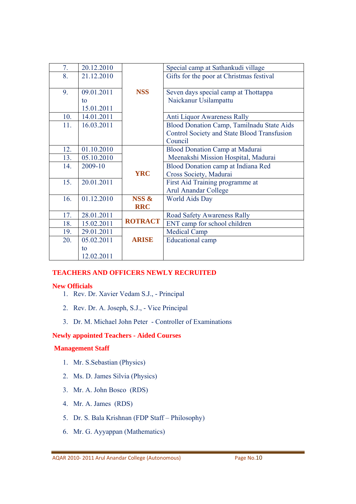| 7.  | 20.12.2010 |                                      | Special camp at Sathankudi village          |  |
|-----|------------|--------------------------------------|---------------------------------------------|--|
| 8.  | 21.12.2010 |                                      | Gifts for the poor at Christmas festival    |  |
|     |            |                                      |                                             |  |
| 9.  | 09.01.2011 | <b>NSS</b>                           | Seven days special camp at Thottappa        |  |
|     | to         |                                      | Naickanur Usilampattu                       |  |
|     | 15.01.2011 |                                      |                                             |  |
| 10. | 14.01.2011 |                                      | <b>Anti Liquor Awareness Rally</b>          |  |
| 11. | 16.03.2011 |                                      | Blood Donation Camp, Tamilnadu State Aids   |  |
|     |            |                                      | Control Society and State Blood Transfusion |  |
|     |            |                                      | Council                                     |  |
| 12. | 01.10.2010 |                                      | <b>Blood Donation Camp at Madurai</b>       |  |
| 13. | 05.10.2010 |                                      | Meenakshi Mission Hospital, Madurai         |  |
| 14. | 2009-10    |                                      | Blood Donation camp at Indiana Red          |  |
|     |            | <b>YRC</b><br>Cross Society, Madurai |                                             |  |
| 15. | 20.01.2011 | First Aid Training programme at      |                                             |  |
|     |            |                                      | <b>Arul Anandar College</b>                 |  |
| 16. | 01.12.2010 | NSS &                                | <b>World Aids Day</b>                       |  |
|     |            | <b>RRC</b>                           |                                             |  |
| 17. | 28.01.2011 |                                      | Road Safety Awareness Rally                 |  |
| 18. | 15.02.2011 | <b>ROTRACT</b>                       | ENT camp for school children                |  |
| 19. | 29.01.2011 |                                      | <b>Medical Camp</b>                         |  |
| 20. | 05.02.2011 | <b>ARISE</b>                         | <b>Educational camp</b>                     |  |
|     | to         |                                      |                                             |  |
|     | 12.02.2011 |                                      |                                             |  |

#### **TEACHERS AND OFFICERS NEWLY RECRUITED**

#### **New Officials**

- 1. Rev. Dr. Xavier Vedam S.J., Principal
- 2. Rev. Dr. A. Joseph, S.J., Vice Principal
- 3. Dr. M. Michael John Peter Controller of Examinations

#### **Newly appointed Teachers - Aided Courses**

#### **Management Staff**

- 1. Mr. S.Sebastian (Physics)
- 2. Ms. D. James Silvia (Physics)
- 3. Mr. A. John Bosco (RDS)
- 4. Mr. A. James (RDS)
- 5. Dr. S. Bala Krishnan (FDP Staff Philosophy)
- 6. Mr. G. Ayyappan (Mathematics)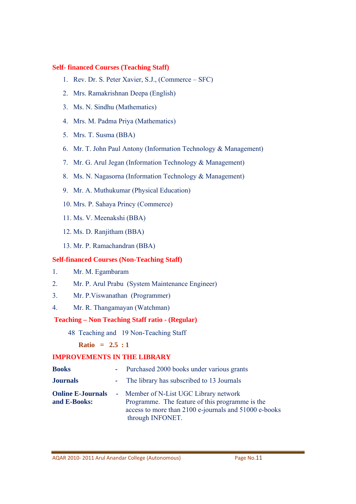#### **Self- financed Courses (Teaching Staff)**

- 1. Rev. Dr. S. Peter Xavier, S.J., (Commerce SFC)
- 2. Mrs. Ramakrishnan Deepa (English)
- 3. Ms. N. Sindhu (Mathematics)
- 4. Mrs. M. Padma Priya (Mathematics)
- 5. Mrs. T. Susma (BBA)
- 6. Mr. T. John Paul Antony (Information Technology & Management)
- 7. Mr. G. Arul Jegan (Information Technology & Management)
- 8. Ms. N. Nagasorna (Information Technology & Management)
- 9. Mr. A. Muthukumar (Physical Education)
- 10. Mrs. P. Sahaya Princy (Commerce)
- 11. Ms. V. Meenakshi (BBA)
- 12. Ms. D. Ranjitham (BBA)
- 13. Mr. P. Ramachandran (BBA)

### **Self-financed Courses (Non-Teaching Staff)**

- 1. Mr. M. Egambaram
- 2. Mr. P. Arul Prabu (System Maintenance Engineer)
- 3. Mr. P.Viswanathan (Programmer)
- 4. Mr. R. Thangamayan (Watchman)

# **Teaching – Non Teaching Staff ratio - (Regular)**

48 Teaching and 19 Non-Teaching Staff

# **Ratio = 2.5 : 1**

# **IMPROVEMENTS IN THE LIBRARY**

| <b>Books</b>                             | - Purchased 2000 books under various grants                                                                                                                            |
|------------------------------------------|------------------------------------------------------------------------------------------------------------------------------------------------------------------------|
| <b>Journals</b>                          | - The library has subscribed to 13 Journals                                                                                                                            |
| <b>Online E-Journals</b><br>and E-Books: | - Member of N-List UGC Library network<br>Programme. The feature of this programme is the<br>access to more than 2100 e-journals and 51000 e-books<br>through INFONET. |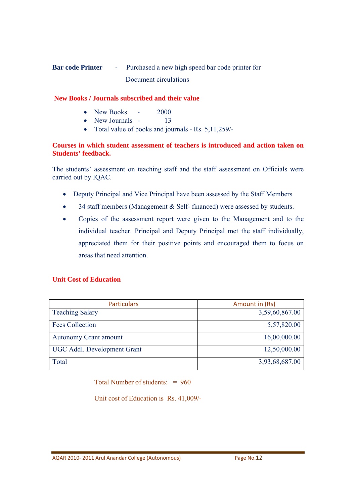# **Bar code Printer -** Purchased a new high speed bar code printer for Document circulations

#### **New Books / Journals subscribed and their value**

- New Books 2000
- New Journals 13
- Total value of books and journals Rs. 5,11,259/-

#### **Courses in which student assessment of teachers is introduced and action taken on Students' feedback.**

The students' assessment on teaching staff and the staff assessment on Officials were carried out by IQAC.

- Deputy Principal and Vice Principal have been assessed by the Staff Members
- 34 staff members (Management & Self- financed) were assessed by students.
- Copies of the assessment report were given to the Management and to the individual teacher. Principal and Deputy Principal met the staff individually, appreciated them for their positive points and encouraged them to focus on areas that need attention.

### **Unit Cost of Education**

| <b>Particulars</b>                 | Amount in (Rs) |
|------------------------------------|----------------|
| <b>Teaching Salary</b>             | 3,59,60,867.00 |
| <b>Fees Collection</b>             | 5,57,820.00    |
| <b>Autonomy Grant amount</b>       | 16,00,000.00   |
| <b>UGC Addl. Development Grant</b> | 12,50,000.00   |
| Total                              | 3,93,68,687.00 |

Total Number of students: = 960

Unit cost of Education is Rs. 41,009/-

AQAR 2010‐ 2011 Arul Anandar College (Autonomous) Page No.12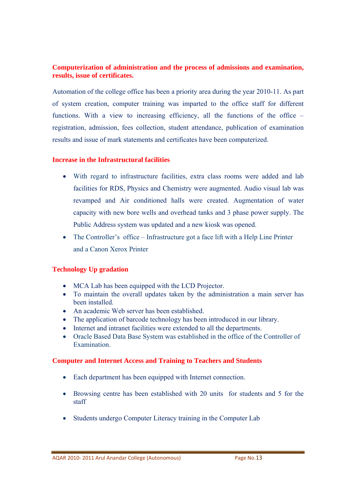#### **Computerization of administration and the process of admissions and examination, results, issue of certificates.**

Automation of the college office has been a priority area during the year 2010-11. As part of system creation, computer training was imparted to the office staff for different functions. With a view to increasing efficiency, all the functions of the office – registration, admission, fees collection, student attendance, publication of examination results and issue of mark statements and certificates have been computerized.

#### **Increase in the Infrastructural facilities**

- With regard to infrastructure facilities, extra class rooms were added and lab facilities for RDS, Physics and Chemistry were augmented. Audio visual lab was revamped and Air conditioned halls were created. Augmentation of water capacity with new bore wells and overhead tanks and 3 phase power supply. The Public Address system was updated and a new kiosk was opened.
- The Controller's office Infrastructure got a face lift with a Help Line Printer and a Canon Xerox Printer

#### **Technology Up gradation**

- MCA Lab has been equipped with the LCD Projector.
- To maintain the overall updates taken by the administration a main server has been installed.
- An academic Web server has been established.
- The application of barcode technology has been introduced in our library.
- Internet and intranet facilities were extended to all the departments.
- Oracle Based Data Base System was established in the office of the Controller of Examination.

#### **Computer and Internet Access and Training to Teachers and Students**

- Each department has been equipped with Internet connection.
- Browsing centre has been established with 20 units for students and 5 for the staff
- Students undergo Computer Literacy training in the Computer Lab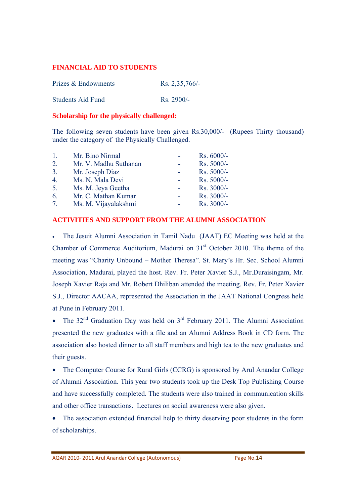#### **FINANCIAL AID TO STUDENTS**

| Prizes & Endowments      | Rs. $2,35,766/-$     |
|--------------------------|----------------------|
| <b>Students Aid Fund</b> | $\text{Rs. } 2900/-$ |

#### **Scholarship for the physically challenged:**

The following seven students have been given Rs.30,000/- (Rupees Thirty thousand) under the category of the Physically Challenged.

| $\mathbf{1}$     | Mr. Bino Nirmal       |          | $Rs. 6000/-$ |
|------------------|-----------------------|----------|--------------|
| $\overline{2}$ . | Mr. V. Madhu Suthanan |          | Rs. 5000/-   |
| 3.               | Mr. Joseph Diaz       |          | Rs. 5000/-   |
| $\overline{4}$ . | Ms. N. Mala Devi      | $\equiv$ | $Rs. 5000/-$ |
| 5.               | Ms. M. Jeya Geetha    |          | Rs. 3000/-   |
| 6.               | Mr. C. Mathan Kumar   |          | Rs. 3000/-   |
| 7 <sup>7</sup>   | Ms. M. Vijayalakshmi  |          | Rs. 3000/-   |

#### **ACTIVITIES AND SUPPORT FROM THE ALUMNI ASSOCIATION**

• The Jesuit Alumni Association in Tamil Nadu (JAAT) EC Meeting was held at the Chamber of Commerce Auditorium, Madurai on  $31<sup>st</sup>$  October 2010. The theme of the meeting was "Charity Unbound – Mother Theresa". St. Mary's Hr. Sec. School Alumni Association, Madurai, played the host. Rev. Fr. Peter Xavier S.J., Mr.Duraisingam, Mr. Joseph Xavier Raja and Mr. Robert Dhiliban attended the meeting. Rev. Fr. Peter Xavier S.J., Director AACAA, represented the Association in the JAAT National Congress held at Pune in February 2011.

The  $32<sup>nd</sup>$  Graduation Day was held on  $3<sup>rd</sup>$  February 2011. The Alumni Association presented the new graduates with a file and an Alumni Address Book in CD form. The association also hosted dinner to all staff members and high tea to the new graduates and their guests.

• The Computer Course for Rural Girls (CCRG) is sponsored by Arul Anandar College of Alumni Association. This year two students took up the Desk Top Publishing Course and have successfully completed. The students were also trained in communication skills and other office transactions. Lectures on social awareness were also given.

• The association extended financial help to thirty deserving poor students in the form of scholarships.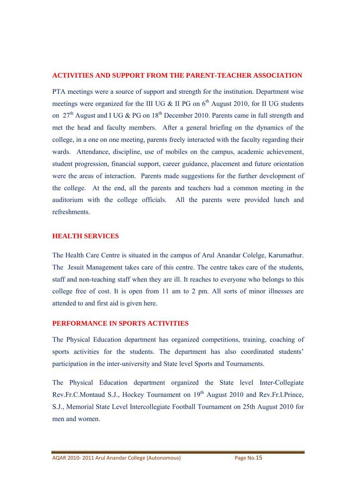#### **ACTIVITIES AND SUPPORT FROM THE PARENT-TEACHER ASSOCIATION**

PTA meetings were a source of support and strength for the institution. Department wise meetings were organized for the III UG  $\&$  II PG on 6<sup>th</sup> August 2010, for II UG students on 27<sup>th</sup> August and I UG & PG on  $18<sup>th</sup>$  December 2010. Parents came in full strength and met the head and faculty members. After a general briefing on the dynamics of the college, in a one on one meeting, parents freely interacted with the faculty regarding their wards. Attendance, discipline, use of mobiles on the campus, academic achievement, student progression, financial support, career guidance, placement and future orientation were the areas of interaction. Parents made suggestions for the further development of the college. At the end, all the parents and teachers had a common meeting in the auditorium with the college officials. All the parents were provided lunch and refreshments.

#### **HEALTH SERVICES**

The Health Care Centre is situated in the campus of Arul Anandar Colelge, Karumathur. The Jesuit Management takes care of this centre. The centre takes care of the students, staff and non-teaching staff when they are ill. It reaches to everyone who belongs to this college free of cost. It is open from 11 am to 2 pm. All sorts of minor illnesses are attended to and first aid is given here.

#### **PERFORMANCE IN SPORTS ACTIVITIES**

The Physical Education department has organized competitions, training, coaching of sports activities for the students. The department has also coordinated students' participation in the inter-university and State level Sports and Tournaments.

The Physical Education department organized the State level Inter-Collegiate Rev.Fr.C.Montaud S.J., Hockey Tournament on 19<sup>th</sup> August 2010 and Rev.Fr.I.Prince, S.J., Memorial State Level Intercollegiate Football Tournament on 25th August 2010 for men and women.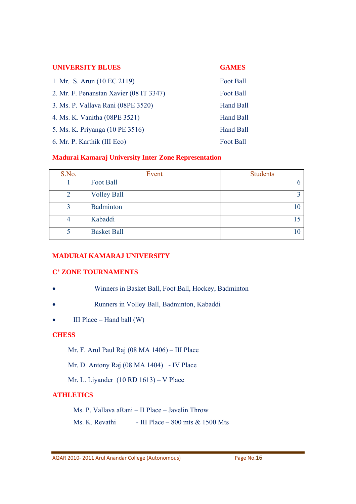| <b>UNIVERSITY BLUES</b>                 | <b>GAMES</b>     |
|-----------------------------------------|------------------|
| 1 Mr. S. Arun (10 EC 2119)              | <b>Foot Ball</b> |
| 2. Mr. F. Penanstan Xavier (08 IT 3347) | Foot Ball        |
| 3. Ms. P. Vallava Rani (08PE 3520)      | Hand Ball        |
| 4. Ms. K. Vanitha (08PE 3521)           | Hand Ball        |
| 5. Ms. K. Priyanga (10 PE 3516)         | Hand Ball        |
| 6. Mr. P. Karthik (III Eco)             | <b>Foot Ball</b> |

#### **Madurai Kamaraj University Inter Zone Representation**

| S.No. | Event              | <b>Students</b> |
|-------|--------------------|-----------------|
|       | Foot Ball          |                 |
| 2     | <b>Volley Ball</b> | ◠               |
| 2     | Badminton          |                 |
| 4     | Kabaddi            |                 |
|       | <b>Basket Ball</b> |                 |

# **MADURAI KAMARAJ UNIVERSITY**

### **C' ZONE TOURNAMENTS**

- Winners in Basket Ball, Foot Ball, Hockey, Badminton
- Runners in Volley Ball, Badminton, Kabaddi
- $\bullet$  III Place Hand ball (W)

### **CHESS**

- Mr. F. Arul Paul Raj (08 MA 1406) III Place
- Mr. D. Antony Raj (08 MA 1404) IV Place
- Mr. L. Liyander (10 RD 1613) V Place

### **ATHLETICS**

Ms. P. Vallava aRani – II Place – Javelin Throw

Ms. K. Revathi - III Place – 800 mts  $& 1500$  Mts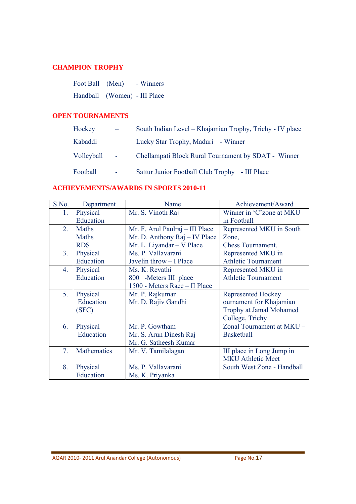#### **CHAMPION TROPHY**

| Foot Ball (Men)              | - Winners |
|------------------------------|-----------|
| Handball (Women) - III Place |           |

#### **OPEN TOURNAMENTS**

| Hockey     |                 | South Indian Level - Khajamian Trophy, Trichy - IV place |
|------------|-----------------|----------------------------------------------------------|
| Kabaddi    |                 | Lucky Star Trophy, Maduri - Winner                       |
| Volleyball | <b>Contract</b> | Chellampati Block Rural Tournament by SDAT - Winner      |
| Football   | $\sim$          | Sattur Junior Football Club Trophy - III Place           |

# **ACHIEVEMENTS/AWARDS IN SPORTS 2010-11**

| S.No.          | Department   | Name                            | Achievement/Award          |
|----------------|--------------|---------------------------------|----------------------------|
| 1.             | Physical     | Mr. S. Vinoth Raj               | Winner in 'C'zone at MKU   |
|                | Education    |                                 | in Football                |
| 2.             | <b>Maths</b> | Mr. F. Arul Paulraj - III Place | Represented MKU in South   |
|                | <b>Maths</b> | Mr. D. Anthony Raj - IV Place   | Zone,                      |
|                | <b>RDS</b>   | Mr. L. Liyandar - V Place       | <b>Chess Tournament.</b>   |
| 3 <sub>1</sub> | Physical     | Ms. P. Vallavarani              | Represented MKU in         |
|                | Education    | Javelin throw - I Place         | <b>Athletic Tournament</b> |
| 4.             | Physical     | Ms. K. Revathi                  | Represented MKU in         |
|                | Education    | 800 -Meters III place           | <b>Athletic Tournament</b> |
|                |              | 1500 - Meters Race - II Place   |                            |
| 5.             | Physical     | Mr. P. Rajkumar                 | <b>Represented Hockey</b>  |
|                | Education    | Mr. D. Rajiv Gandhi             | ournament for Khajamian    |
|                | (SFC)        |                                 | Trophy at Jamal Mohamed    |
|                |              |                                 | College, Trichy            |
| 6.             | Physical     | Mr. P. Gowtham                  | Zonal Tournament at MKU -  |
|                | Education    | Mr. S. Arun Dinesh Raj          | <b>Basketball</b>          |
|                |              | Mr. G. Satheesh Kumar           |                            |
| 7.             | Mathematics  | Mr. V. Tamilalagan              | III place in Long Jump in  |
|                |              |                                 | <b>MKU Athletic Meet</b>   |
| 8.             | Physical     | Ms. P. Vallavarani              | South West Zone - Handball |
|                | Education    | Ms. K. Priyanka                 |                            |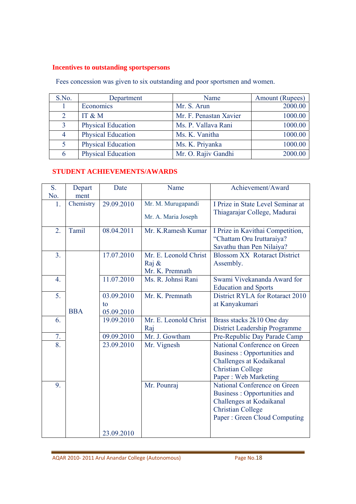# **Incentives to outstanding sportspersons**

Fees concession was given to six outstanding and poor sportsmen and women.

| S.No.          | Department                | Name                   | Amount (Rupees) |
|----------------|---------------------------|------------------------|-----------------|
|                | Economics                 | Mr. S. Arun            | 2000.00         |
| $\overline{2}$ | IT & M                    | Mr. F. Penastan Xavier | 1000.00         |
| 3              | <b>Physical Education</b> | Ms. P. Vallava Rani    | 1000.00         |
| 4              | <b>Physical Education</b> | Ms. K. Vanitha         | 1000.00         |
| 5              | <b>Physical Education</b> | Ms. K. Priyanka        | 1000.00         |
| 6              | <b>Physical Education</b> | Mr. O. Rajiv Gandhi    | 2000.00         |

# **STUDENT ACHIEVEMENTS/AWARDS**

| S.<br>No.        | Depart<br>ment | Date                           | Name                                              | Achievement/Award                                                                                                                                   |
|------------------|----------------|--------------------------------|---------------------------------------------------|-----------------------------------------------------------------------------------------------------------------------------------------------------|
| 1.               | Chemistry      | 29.09.2010                     | Mr. M. Murugapandi<br>Mr. A. Maria Joseph         | I Prize in State Level Seminar at<br>Thiagarajar College, Madurai                                                                                   |
| $\overline{2}$ . | Tamil          | 08.04.2011                     | Mr. K.Ramesh Kumar                                | I Prize in Kavithai Competition,<br>"Chattam Oru Iruttaraiya?<br>Savathu than Pen Nilaiya?                                                          |
| 3.               |                | 17.07.2010                     | Mr. E. Leonold Christ<br>Raj &<br>Mr. K. Premnath | <b>Blossom XX Rotaract District</b><br>Assembly.                                                                                                    |
| $\overline{4}$ . |                | 11.07.2010                     | Ms. R. Johnsi Rani                                | Swami Vivekananda Award for<br><b>Education and Sports</b>                                                                                          |
| 5.               | <b>BBA</b>     | 03.09.2010<br>to<br>05.09.2010 | Mr. K. Premnath                                   | District RYLA for Rotaract 2010<br>at Kanyakumari                                                                                                   |
| 6.               |                | 19.09.2010                     | Mr. E. Leonold Christ<br>Raj                      | Brass stacks 2k10 One day<br><b>District Leadership Programme</b>                                                                                   |
| 7.               |                | 09.09.2010                     | Mr. J. Gowtham                                    | Pre-Republic Day Parade Camp                                                                                                                        |
| 8.               |                | 23.09.2010                     | Mr. Vignesh                                       | National Conference on Green<br>Business: Opportunities and<br>Challenges at Kodaikanal<br><b>Christian College</b><br>Paper: Web Marketing         |
| 9.               |                | 23.09.2010                     | Mr. Pounraj                                       | National Conference on Green<br>Business: Opportunities and<br>Challenges at Kodaikanal<br><b>Christian College</b><br>Paper: Green Cloud Computing |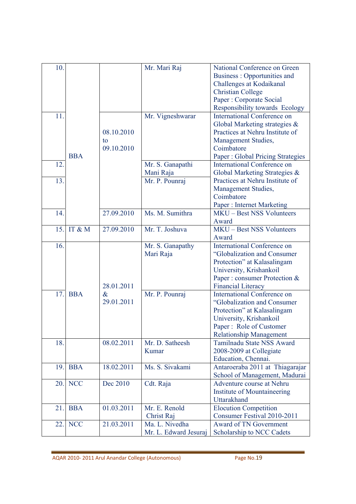| 10. |            |            | Mr. Mari Raj          | National Conference on Green            |
|-----|------------|------------|-----------------------|-----------------------------------------|
|     |            |            |                       | Business: Opportunities and             |
|     |            |            |                       | Challenges at Kodaikanal                |
|     |            |            |                       | <b>Christian College</b>                |
|     |            |            |                       | Paper : Corporate Social                |
|     |            |            |                       |                                         |
|     |            |            |                       | Responsibility towards Ecology          |
| 11  |            |            | Mr. Vigneshwarar      | <b>International Conference on</b>      |
|     |            |            |                       | Global Marketing strategies &           |
|     |            | 08.10.2010 |                       | Practices at Nehru Institute of         |
|     |            | to         |                       | Management Studies,                     |
|     |            | 09.10.2010 |                       | Coimbatore                              |
|     | <b>BBA</b> |            |                       | <b>Paper: Global Pricing Strategies</b> |
| 12. |            |            | Mr. S. Ganapathi      | <b>International Conference on</b>      |
|     |            |            |                       |                                         |
|     |            |            | Mani Raja             | Global Marketing Strategies &           |
| 13. |            |            | Mr. P. Pounraj        | Practices at Nehru Institute of         |
|     |            |            |                       | Management Studies,                     |
|     |            |            |                       | Coimbatore                              |
|     |            |            |                       | <b>Paper: Internet Marketing</b>        |
| 14. |            | 27.09.2010 | Ms. M. Sumithra       | <b>MKU-Best NSS Volunteers</b>          |
|     |            |            |                       | Award                                   |
| 15. | IT & M     | 27.09.2010 | Mr. T. Joshuva        | <b>MKU-Best NSS Volunteers</b>          |
|     |            |            |                       |                                         |
|     |            |            |                       | Award                                   |
| 16. |            |            | Mr. S. Ganapathy      | <b>International Conference on</b>      |
|     |            |            | Mari Raja             | "Globalization and Consumer             |
|     |            |            |                       | Protection" at Kalasalingam             |
|     |            |            |                       | University, Krishankoil                 |
|     |            |            |                       | Paper : consumer Protection &           |
|     |            | 28.01.2011 |                       | <b>Financial Literacy</b>               |
| 17. | <b>BBA</b> | $\&$       | Mr. P. Pounraj        | <b>International Conference on</b>      |
|     |            | 29.01.2011 |                       | "Globalization and Consumer             |
|     |            |            |                       |                                         |
|     |            |            |                       | Protection" at Kalasalingam             |
|     |            |            |                       | University, Krishankoil                 |
|     |            |            |                       | Paper: Role of Customer                 |
|     |            |            |                       | <b>Relationship Management</b>          |
| 18. |            | 08.02.2011 | Mr. D. Satheesh       | Tamilnadu State NSS Award               |
|     |            |            | Kumar                 | 2008-2009 at Collegiate                 |
|     |            |            |                       | Education, Chennai.                     |
| 19. | <b>BBA</b> | 18.02.2011 | Ms. S. Sivakami       | Antaroeraba 2011 at Thiagarajar         |
|     |            |            |                       |                                         |
|     |            |            |                       | School of Management, Madurai           |
| 20. | <b>NCC</b> | Dec 2010   | Cdt. Raja             | Adventure course at Nehru               |
|     |            |            |                       | Institute of Mountaineering             |
|     |            |            |                       | Uttarakhand                             |
| 21. | <b>BBA</b> | 01.03.2011 | Mr. E. Renold         | <b>Elocution Competition</b>            |
|     |            |            | Christ Raj            | Consumer Festival 2010-2011             |
| 22. | <b>NCC</b> | 21.03.2011 | Ma. L. Nivedha        | Award of TN Government                  |
|     |            |            |                       |                                         |
|     |            |            | Mr. L. Edward Jesuraj | Scholarship to NCC Cadets               |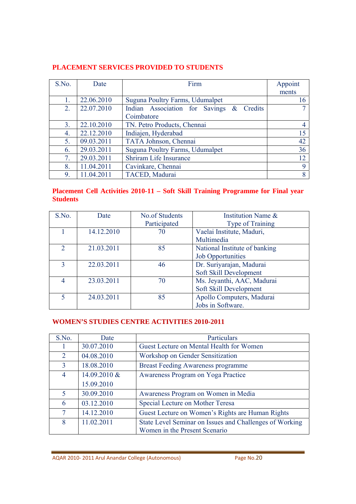# **PLACEMENT SERVICES PROVIDED TO STUDENTS**

| S.No. | Date       | Firm                                     | Appoint |
|-------|------------|------------------------------------------|---------|
|       |            |                                          | ments   |
| 1.    | 22.06.2010 | Suguna Poultry Farms, Udumalpet          | 16      |
| 2.    | 22.07.2010 | Indian Association for Savings & Credits |         |
|       |            | Coimbatore                               |         |
| 3.    | 22.10.2010 | TN. Petro Products, Chennai              | 4       |
| 4.    | 22.12.2010 | Indiajen, Hyderabad                      | 15      |
| 5.    | 09.03.2011 | TATA Johnson, Chennai                    | 42      |
| 6.    | 29.03.2011 | Suguna Poultry Farms, Udumalpet          | 36      |
| 7.    | 29.03.2011 | Shriram Life Insurance                   | 12      |
| 8.    | 11.04.2011 | Cavinkare, Chennai                       | 9       |
| 9.    | 11.04.2011 | TACED, Madurai                           | 8       |

### **Placement Cell Activities 2010-11 – Soft Skill Training Programme for Final year Students**

| S.No.         | Date       | <b>No.of Students</b><br>Participated | Institution Name &<br>Type of Training                    |
|---------------|------------|---------------------------------------|-----------------------------------------------------------|
|               | 14.12.2010 | 70                                    | Vaelai Institute, Maduri,<br>Multimedia                   |
| $\mathcal{D}$ | 21.03.2011 | 85                                    | National Institute of banking<br><b>Job Opportunities</b> |
| $\mathbf{3}$  | 22.03.2011 | 46                                    | Dr. Suriyarajan, Madurai<br>Soft Skill Development        |
|               | 23.03.2011 | 70                                    | Ms. Jeyanthi, AAC, Madurai<br>Soft Skill Development      |
| 5             | 24.03.2011 | 85                                    | Apollo Computers, Madurai<br>Jobs in Software.            |

# **WOMEN'S STUDIES CENTRE ACTIVITIES 2010-2011**

| S.No.          | Date         | Particulars                                             |
|----------------|--------------|---------------------------------------------------------|
| T              | 30.07.2010   | Guest Lecture on Mental Health for Women                |
| 2              | 04.08.2010   | Workshop on Gender Sensitization                        |
| $\overline{3}$ | 18.08.2010   | <b>Breast Feeding Awareness programme</b>               |
| 4              | 14.09.2010 & | Awareness Program on Yoga Practice                      |
|                | 15.09.2010   |                                                         |
| 5              | 30.09.2010   | Awareness Program on Women in Media                     |
| 6              | 03.12.2010   | Special Lecture on Mother Teresa                        |
| 7              | 14.12.2010   | Guest Lecture on Women's Rights are Human Rights        |
| 8              | 11.02.2011   | State Level Seminar on Issues and Challenges of Working |
|                |              | Women in the Present Scenario                           |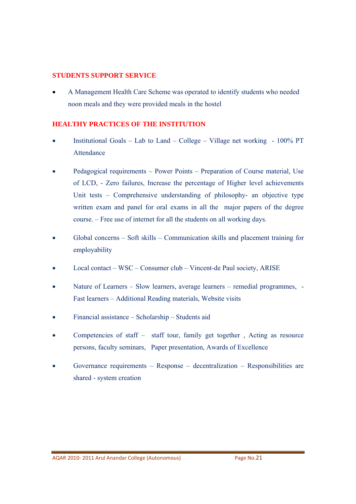#### **STUDENTS SUPPORT SERVICE**

• A Management Health Care Scheme was operated to identify students who needed noon meals and they were provided meals in the hostel

#### **HEALTHY PRACTICES OF THE INSTITUTION**

- Institutional Goals Lab to Land College Village net working 100% PT Attendance
- Pedagogical requirements Power Points Preparation of Course material, Use of LCD, - Zero failures, Increase the percentage of Higher level achievements Unit tests – Comprehensive understanding of philosophy- an objective type written exam and panel for oral exams in all the major papers of the degree course. – Free use of internet for all the students on all working days.
- Global concerns Soft skills Communication skills and placement training for employability
- Local contact WSC Consumer club Vincent-de Paul society, ARISE
- Nature of Learners Slow learners, average learners remedial programmes, Fast learners – Additional Reading materials, Website visits
- Financial assistance Scholarship Students aid
- Competencies of staff staff tour, family get together, Acting as resource persons, faculty seminars, Paper presentation, Awards of Excellence
- Governance requirements Response decentralization Responsibilities are shared - system creation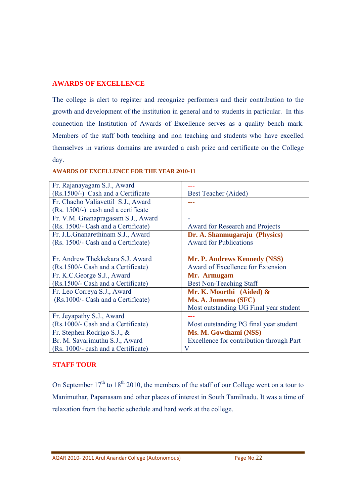#### **AWARDS OF EXCELLENCE**

The college is alert to register and recognize performers and their contribution to the growth and development of the institution in general and to students in particular. In this connection the Institution of Awards of Excellence serves as a quality bench mark. Members of the staff both teaching and non teaching and students who have excelled themselves in various domains are awarded a cash prize and certificate on the College day.

| Fr. Rajanayagam S.J., Award           |                                          |
|---------------------------------------|------------------------------------------|
|                                       |                                          |
| (Rs.1500/-) Cash and a Certificate    | Best Teacher (Aided)                     |
| Fr. Chacho Valiavettil S.J., Award    |                                          |
| $(Rs. 1500/-)$ cash and a certificate |                                          |
| Fr. V.M. Gnanapragasam S.J., Award    |                                          |
| (Rs. 1500/- Cash and a Certificate)   | <b>Award for Research and Projects</b>   |
| Fr. J.L.Gnanarethinam S.J., Award     | Dr. A. Shanmugaraju (Physics)            |
| (Rs. 1500/- Cash and a Certificate)   | <b>Award for Publications</b>            |
|                                       |                                          |
| Fr. Andrew Thekkekara S.J. Award      | Mr. P. Andrews Kennedy (NSS)             |
| (Rs.1500/- Cash and a Certificate)    | Award of Excellence for Extension        |
| Fr. K.C. George S.J., Award           | Mr. Armugam                              |
| (Rs.1500/- Cash and a Certificate)    | <b>Best Non-Teaching Staff</b>           |
| Fr. Leo Correya S.J., Award           | Mr. K. Moorthi (Aided) &                 |
| (Rs. 1000/- Cash and a Certificate)   | Ms. A. Jomeena (SFC)                     |
|                                       | Most outstanding UG Final year student   |
| Fr. Jeyapathy S.J., Award             |                                          |
| (Rs.1000/- Cash and a Certificate)    | Most outstanding PG final year student   |
| Fr. Stephen Rodrigo S.J., &           | Ms. M. Gowthami (NSS)                    |
| Br. M. Savarimuthu S.J., Award        | Excellence for contribution through Part |
| (Rs. 1000/- cash and a Certificate)   | V                                        |

#### **AWARDS OF EXCELLENCE FOR THE YEAR 2010-11**

#### **STAFF TOUR**

On September  $17<sup>th</sup>$  to  $18<sup>th</sup>$  2010, the members of the staff of our College went on a tour to Manimuthar, Papanasam and other places of interest in South Tamilnadu. It was a time of relaxation from the hectic schedule and hard work at the college.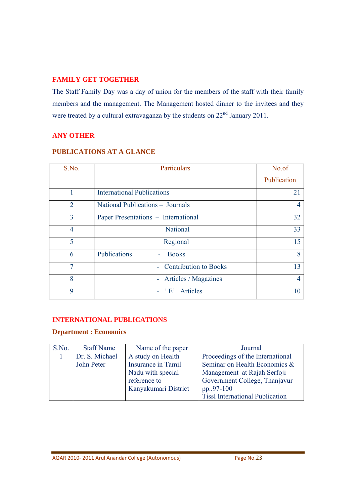#### **FAMILY GET TOGETHER**

The Staff Family Day was a day of union for the members of the staff with their family members and the management. The Management hosted dinner to the invitees and they were treated by a cultural extravaganza by the students on  $22<sup>nd</sup>$  January 2011.

# **ANY OTHER**

| <b>PUBLICATIONS AT A GLANCE</b> |  |
|---------------------------------|--|
|---------------------------------|--|

| S.No.          | Particulars                         | No.of          |
|----------------|-------------------------------------|----------------|
|                |                                     | Publication    |
| 1              | <b>International Publications</b>   | 21             |
| $\overline{2}$ | National Publications - Journals    | $\overline{4}$ |
| $\overline{3}$ | Paper Presentations - International | 32             |
| $\overline{4}$ | <b>National</b>                     | 33             |
| 5              | Regional                            | 15             |
| 6              | Publications<br>- Books             | 8              |
| $\overline{7}$ | - Contribution to Books             | 13             |
| 8              | - Articles / Magazines              | $\overline{4}$ |
| 9              | - 'E' Articles                      | 10             |

### **INTERNATIONAL PUBLICATIONS**

#### **Department : Economics**

| S.No. | <b>Staff Name</b> | Name of the paper    | Journal                                |
|-------|-------------------|----------------------|----------------------------------------|
|       | Dr. S. Michael    | A study on Health    | Proceedings of the International       |
|       | John Peter        | Insurance in Tamil   | Seminar on Health Economics &          |
|       |                   | Nadu with special    | Management at Rajah Serfoji            |
|       |                   | reference to         | Government College, Thanjavur          |
|       |                   | Kanyakumari District | pp97-100                               |
|       |                   |                      | <b>Tissl International Publication</b> |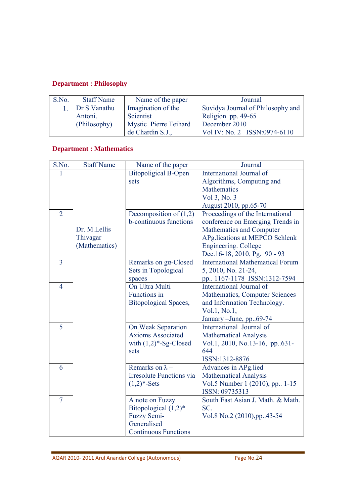# **Department : Philosophy**

| S.No. | <b>Staff Name</b> | Name of the paper     | Journal                           |
|-------|-------------------|-----------------------|-----------------------------------|
|       | 1. Dr S. Vanathu  | Imagination of the    | Suvidya Journal of Philosophy and |
|       | Antoni.           | Scientist             | Religion pp. 49-65                |
|       | (Philosophy)      | Mystic Pierre Teihard | December 2010                     |
|       |                   | de Chardin S.J.,      | Vol IV: No. 2 ISSN:0974-6110      |

# **Department : Mathematics**

| S.No.          | <b>Staff Name</b> | Name of the paper               | Journal                                 |
|----------------|-------------------|---------------------------------|-----------------------------------------|
| 1              |                   | <b>Bitopoligical B-Open</b>     | International Journal of                |
|                |                   | sets                            | Algorithms, Computing and               |
|                |                   |                                 | <b>Mathematics</b>                      |
|                |                   |                                 | Vol 3, No. 3                            |
|                |                   |                                 | August 2010, pp.65-70                   |
| $\overline{2}$ |                   | Decomposition of $(1,2)$        | Proceedings of the International        |
|                |                   | b-continuous functions          | conference on Emerging Trends in        |
|                | Dr. M.Lellis      |                                 | Mathematics and Computer                |
|                | Thivagar          |                                 | APg.lications at MEPCO Schlenk          |
|                | (Mathematics)     |                                 | <b>Engineering.</b> College             |
|                |                   |                                 | Dec.16-18, 2010, Pg. 90 - 93            |
| $\overline{3}$ |                   | Remarks on ga-Closed            | <b>International Mathematical Forum</b> |
|                |                   | Sets in Topological             | 5, 2010, No. 21-24,                     |
|                |                   | spaces                          | pp., 1167-1178 ISSN:1312-7594           |
| $\overline{4}$ |                   | On Ultra Multi                  | International Journal of                |
|                |                   | Functions in                    | Mathematics, Computer Sciences          |
|                |                   | <b>Bitopological Spaces,</b>    | and Information Technology.             |
|                |                   |                                 | Vol.1, No.1,                            |
|                |                   |                                 | January - June, pp. 69-74               |
| 5              |                   | On Weak Separation              | International Journal of                |
|                |                   | <b>Axioms Associated</b>        | <b>Mathematical Analysis</b>            |
|                |                   | with $(1,2)*$ -Sg-Closed        | Vol.1, 2010, No.13-16, pp631-           |
|                |                   | sets                            | 644                                     |
|                |                   |                                 | ISSN:1312-8876                          |
| 6              |                   | Remarks on $\lambda$ –          | Advances in APg.lied                    |
|                |                   | <b>Irresolute Functions via</b> | <b>Mathematical Analysis</b>            |
|                |                   | $(1,2)*-Sets$                   | Vol.5 Number 1 (2010), pp. 1-15         |
|                |                   |                                 | ISSN: 09735313                          |
| $\overline{7}$ |                   | A note on Fuzzy                 | South East Asian J. Math. & Math.       |
|                |                   | Bitopological $(1,2)^*$         | SC.                                     |
|                |                   | <b>Fuzzy Semi-</b>              | Vol.8 No.2 (2010), pp. 43-54            |
|                |                   | Generalised                     |                                         |
|                |                   | <b>Continuous Functions</b>     |                                         |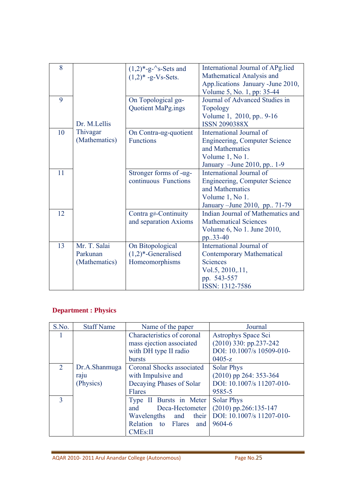| 8  |               | $(1,2)*-g^-$ 's-Sets and       | International Journal of APg.lied<br>Mathematical Analysis and |
|----|---------------|--------------------------------|----------------------------------------------------------------|
|    |               | $(1,2)* -g-Vs-Sets.$           | App.lications January - June 2010,                             |
|    |               |                                | Volume 5, No. 1, pp: 35-44                                     |
| 9  |               |                                |                                                                |
|    |               | On Topological ga-             | Journal of Advanced Studies in                                 |
|    |               | Quotient MaPg.ings             | <b>Topology</b>                                                |
|    |               |                                | Volume 1, 2010, pp., 9-16                                      |
|    | Dr. M.Lellis  |                                | <b>ISSN 2090388X</b>                                           |
| 10 | Thivagar      | On Contra- $\alpha$ g-quotient | International Journal of                                       |
|    | (Mathematics) | <b>Functions</b>               | <b>Engineering, Computer Science</b>                           |
|    |               |                                | and Mathematics                                                |
|    |               |                                | Volume 1, No 1.                                                |
|    |               |                                | January - June 2010, pp. 1-9                                   |
| 11 |               | Stronger forms of -ag-         | International Journal of                                       |
|    |               | continuous Functions           | <b>Engineering, Computer Science</b>                           |
|    |               |                                | and Mathematics                                                |
|    |               |                                | Volume 1, No 1.                                                |
|    |               |                                | January - June 2010, pp. 71-79                                 |
| 12 |               | Contra g#-Continuity           | Indian Journal of Mathematics and                              |
|    |               | and separation Axioms          | <b>Mathematical Sciences</b>                                   |
|    |               |                                | Volume 6, No 1. June 2010,                                     |
|    |               |                                | pp33-40                                                        |
| 13 | Mr. T. Salai  | On Bitopological               | International Journal of                                       |
|    | Parkunan      | $(1,2)$ *-Generalised          | <b>Contemporary Mathematical</b>                               |
|    | (Mathematics) | Homeomorphisms                 | <b>Sciences</b>                                                |
|    |               |                                | Vol.5, 2010, 11,                                               |
|    |               |                                | pp. 543-557                                                    |
|    |               |                                | ISSN: 1312-7586                                                |
|    |               |                                |                                                                |

# **Department : Physics**

| S.No.                       | <b>Staff Name</b> | Name of the paper          | Journal                   |
|-----------------------------|-------------------|----------------------------|---------------------------|
|                             |                   | Characteristics of coronal | Astrophys Space Sci       |
|                             |                   | mass ejection associated   | $(2010)$ 330: pp.237-242  |
|                             |                   | with DH type II radio      | DOI: 10.1007/s 10509-010- |
|                             |                   | bursts                     | $0405-z$                  |
| $\mathcal{D}_{\mathcal{L}}$ | Dr.A.Shanmuga     | Coronal Shocks associated  | <b>Solar Phys</b>         |
|                             | raju              | with Impulsive and         | (2010) pp 264: 353-364    |
|                             | (Physics)         | Decaying Phases of Solar   | DOI: 10.1007/s 11207-010- |
|                             |                   | Flares                     | 9585-5                    |
| $\mathbf{3}$                |                   | Type II Bursts in Meter    | <b>Solar Phys</b>         |
|                             |                   | Deca-Hectometer<br>and     | $(2010)$ pp.266:135-147   |
|                             |                   | Wavelengths and<br>their   | DOI: 10.1007/s 11207-010- |
|                             |                   | Relation to Flares and     | 9604-6                    |
|                             |                   | <b>CMEs:II</b>             |                           |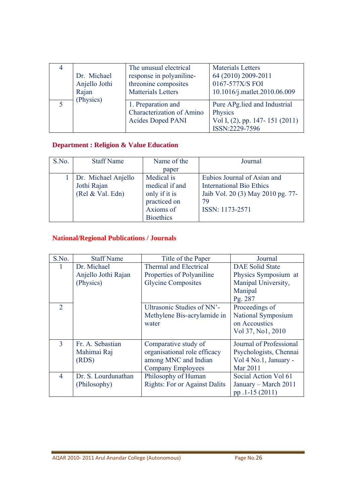| 4 | Dr. Michael   | The unusual electrical                                                             | <b>Materials Letters</b>                                                                    |
|---|---------------|------------------------------------------------------------------------------------|---------------------------------------------------------------------------------------------|
|   | Anjello Jothi | response in polyaniline-                                                           | 64 (2010) 2009-2011                                                                         |
|   | Rajan         | threonine composites                                                               | 0167-577X/S FOI                                                                             |
|   | (Physics)     | <b>Matterials Letters</b>                                                          | 10.1016/j.matlet.2010.06.009                                                                |
|   |               | 1. Preparation and<br><b>Characterization of Amino</b><br><b>Acides Doped PANI</b> | Pure APg.lied and Industrial<br>Physics<br>Vol I, (2), pp. 147-151 (2011)<br>ISSN:2229-7596 |

# **Department : Religion & Value Education**

| S.No. | <b>Staff Name</b>   | Name of the      | Journal                           |
|-------|---------------------|------------------|-----------------------------------|
|       |                     | paper            |                                   |
|       | Dr. Michael Anjello | Medical is       | Eubios Journal of Asian and       |
|       | Jothi Rajan         | medical if and   | <b>International Bio Ethics</b>   |
|       | (Rel & Val. Edn)    | only if it is    | Jaib Vol. 20 (3) May 2010 pg. 77- |
|       |                     | practiced on     | 79                                |
|       |                     | Axioms of        | ISSN: 1173-2571                   |
|       |                     | <b>Bioethics</b> |                                   |

# **National/Regional Publications / Journals**

| S.No.                   | <b>Staff Name</b>   | Title of the Paper                   | Journal                 |
|-------------------------|---------------------|--------------------------------------|-------------------------|
|                         | Dr. Michael         | <b>Thermal and Electrical</b>        | <b>DAE Solid State</b>  |
|                         | Anjello Jothi Rajan | Properties of Polyaniline            | Physics Symposium at    |
|                         | (Physics)           | <b>Glycine Composites</b>            | Manipal University,     |
|                         |                     |                                      | Manipal                 |
|                         |                     |                                      | Pg. 287                 |
| $\overline{2}$          |                     | Ultrasonic Studies of NN'-           | Proceedings of          |
|                         |                     | Methylene Bis-acrylamide in          | National Symposium      |
|                         |                     | water                                | on Accoustics           |
|                         |                     |                                      | Vol 37, No1, 2010       |
| $\overline{\mathbf{3}}$ | Fr. A. Sebastian    | Comparative study of                 | Journal of Professional |
|                         | Mahimai Raj         | organisational role efficacy         | Psychologists, Chennai  |
|                         | (RDS)               | among MNC and Indian                 | Vol 4 No.1, January -   |
|                         |                     | <b>Company Employees</b>             | Mar 2011                |
| $\overline{4}$          | Dr. S. Lourdunathan | Philosophy of Human                  | Social Action Vol 61    |
|                         | (Philosophy)        | <b>Rights: For or Against Dalits</b> | January – March 2011    |
|                         |                     |                                      | pp.1-15 (2011)          |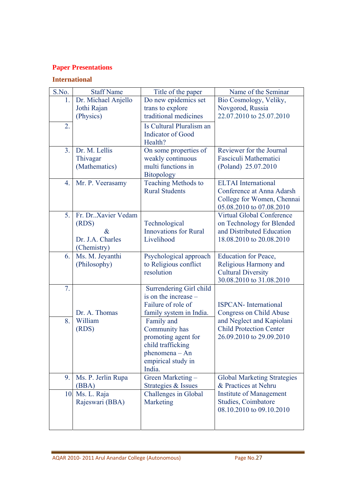# **Paper Presentations**

# **International**

| S.No.            | <b>Staff Name</b>         | Title of the paper                         | Name of the Seminar                                           |
|------------------|---------------------------|--------------------------------------------|---------------------------------------------------------------|
| 1.               | Dr. Michael Anjello       | Do new epidemics set                       | Bio Cosmology, Veliky,                                        |
|                  | Jothi Rajan               | trans to explore                           | Novgorod, Russia                                              |
|                  | (Physics)                 | traditional medicines                      | 22.07.2010 to 25.07.2010                                      |
| $\overline{2}$ . |                           | Is Cultural Pluralism an                   |                                                               |
|                  |                           | <b>Indicator</b> of Good                   |                                                               |
|                  |                           | Health?                                    |                                                               |
| 3 <sub>1</sub>   | Dr. M. Lellis<br>Thivagar | On some properties of<br>weakly continuous | Reviewer for the Journal<br>Fasciculi Mathematici             |
|                  | (Mathematics)             | multi functions in                         | (Poland) 25.07.2010                                           |
|                  |                           | <b>Bitopology</b>                          |                                                               |
| 4.               | Mr. P. Veerasamy          | Teaching Methods to                        | <b>ELTAI</b> International                                    |
|                  |                           | <b>Rural Students</b>                      | Conference at Anna Adarsh                                     |
|                  |                           |                                            | College for Women, Chennai                                    |
|                  | Fr. Dr. Xavier Vedam      |                                            | 05.08.2010 to 07.08.2010                                      |
| 5.               | (RDS)                     | Technological                              | <b>Virtual Global Conference</b><br>on Technology for Blended |
|                  | $\&$                      | <b>Innovations</b> for Rural               | and Distributed Education                                     |
|                  | Dr. J.A. Charles          | Livelihood                                 | 18.08.2010 to 20.08.2010                                      |
|                  | (Chemistry)               |                                            |                                                               |
| 6.               | Ms. M. Jeyanthi           | Psychological approach                     | <b>Education for Peace,</b>                                   |
|                  | (Philosophy)              | to Religious conflict                      | Religious Harmony and                                         |
|                  |                           | resolution                                 | <b>Cultural Diversity</b><br>30.08.2010 to 31.08.2010         |
| 7.               |                           | Surrendering Girl child                    |                                                               |
|                  |                           | is on the increase –                       |                                                               |
|                  |                           | Failure of role of                         | <b>ISPCAN-</b> International                                  |
|                  | Dr. A. Thomas             | family system in India.                    | <b>Congress on Child Abuse</b>                                |
| 8.               | William                   | Family and                                 | and Neglect and Kapiolani                                     |
|                  | (RDS)                     | Community has                              | <b>Child Protection Center</b>                                |
|                  |                           | promoting agent for<br>child trafficking   | 26.09.2010 to 29.09.2010                                      |
|                  |                           | $phenomena - An$                           |                                                               |
|                  |                           | empirical study in                         |                                                               |
|                  |                           | India.                                     |                                                               |
| 9.               | Ms. P. Jerlin Rupa        | Green Marketing -                          | <b>Global Marketing Strategies</b>                            |
|                  | (BBA)                     | Strategies & Issues                        | & Practices at Nehru                                          |
| 10.              | Ms. L. Raja               | Challenges in Global                       | <b>Institute of Management</b>                                |
|                  | Rajeswari (BBA)           | Marketing                                  | Studies, Coimbatore                                           |
|                  |                           |                                            | 08.10.2010 to 09.10.2010                                      |
|                  |                           |                                            |                                                               |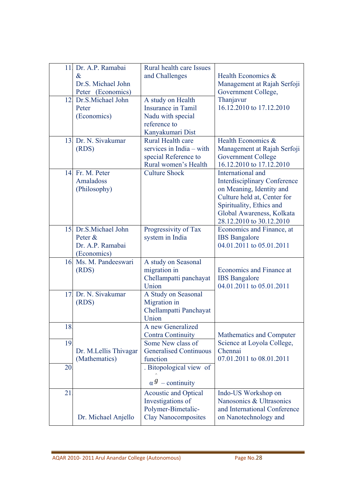| 11. | Dr. A.P. Ramabai<br>$\&$<br>Dr.S. Michael John<br>Peter (Economics) | Rural health care Issues<br>and Challenges                                                           | Health Economics &<br>Management at Rajah Serfoji<br>Government College,                                                                                                                                 |
|-----|---------------------------------------------------------------------|------------------------------------------------------------------------------------------------------|----------------------------------------------------------------------------------------------------------------------------------------------------------------------------------------------------------|
| 12. | Dr.S.Michael John<br>Peter<br>(Economics)                           | A study on Health<br>Insurance in Tamil<br>Nadu with special<br>reference to<br>Kanyakumari Dist     | Thanjavur<br>16.12.2010 to 17.12.2010                                                                                                                                                                    |
| 13. | Dr. N. Siyakumar<br>(RDS)                                           | Rural Health care<br>services in India – with<br>special Reference to<br>Rural women's Health        | Health Economics &<br>Management at Rajah Serfoji<br><b>Government College</b><br>16.12.2010 to 17.12.2010                                                                                               |
| 14. | Fr. M. Peter<br>Amaladoss<br>(Philosophy)                           | <b>Culture Shock</b>                                                                                 | International and<br><b>Interdisciplinary Conference</b><br>on Meaning, Identity and<br>Culture held at, Center for<br>Spirituality, Ethics and<br>Global Awareness, Kolkata<br>28.12.2010 to 30.12.2010 |
| 15. | Dr.S.Michael John<br>Peter &<br>Dr. A.P. Ramabai<br>(Economics)     | Progressivity of Tax<br>system in India                                                              | Economics and Finance, at<br><b>IBS</b> Bangalore<br>04.01.2011 to 05.01.2011                                                                                                                            |
| 16. | Ms. M. Pandeeswari<br>(RDS)                                         | A study on Seasonal<br>migration in<br>Chellampatti panchayat<br>Union                               | Economics and Finance at<br><b>IBS</b> Bangalore<br>04.01.2011 to 05.01.2011                                                                                                                             |
| 17. | Dr. N. Sivakumar<br>(RDS)                                           | A Study on Seasonal<br>Migration in<br>Chellampatti Panchayat<br>Union                               |                                                                                                                                                                                                          |
| 18. |                                                                     | A new Generalized<br><b>Contra Continuity</b>                                                        | Mathematics and Computer                                                                                                                                                                                 |
| 19. | Dr. M.Lellis Thivagar<br>(Mathematics)                              | Some New class of<br><b>Generalised Continuous</b><br>function                                       | Science at Loyola College,<br>Chennai<br>07.01.2011 to 08.01.2011                                                                                                                                        |
| 20  |                                                                     | . Bitopological view of<br>$\alpha^g$ – continuity                                                   |                                                                                                                                                                                                          |
| 21  | Dr. Michael Anjello                                                 | <b>Acoustic and Optical</b><br>Investigations of<br>Polymer-Bimetalic-<br><b>Clay Nanocomposites</b> | Indo-US Workshop on<br>Nanosonics & Ultrasonics<br>and International Conference<br>on Nanotechnology and                                                                                                 |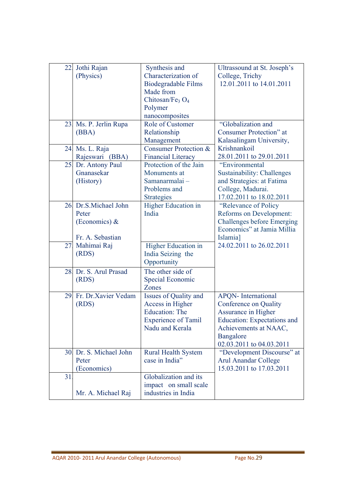| 22. | Jothi Rajan             | Synthesis and                  | Ultrassound at St. Joseph's        |
|-----|-------------------------|--------------------------------|------------------------------------|
|     | (Physics)               | Characterization of            | College, Trichy                    |
|     |                         | <b>Biodegradable Films</b>     | 12.01.2011 to 14.01.2011           |
|     |                         | Made from                      |                                    |
|     |                         | Chitosan/Fe <sub>3</sub> $O_4$ |                                    |
|     |                         | Polymer                        |                                    |
|     |                         | nanocomposites                 |                                    |
|     | 23. Ms. P. Jerlin Rupa  | Role of Customer               | "Globalization and                 |
|     | (BBA)                   | Relationship                   | Consumer Protection" at            |
|     |                         | Management                     | Kalasalingam University,           |
| 24. | Ms. L. Raja             | Consumer Protection &          | Krishnankoil                       |
|     | Rajeswari (BBA)         | <b>Financial Literacy</b>      | 28.01.2011 to 29.01.2011           |
| 25. | Dr. Antony Paul         | Protection of the Jain         | "Environmental                     |
|     | Gnanasekar              | Monuments at                   | <b>Sustainability: Challenges</b>  |
|     | (History)               | Samanarmalai-                  | and Strategies: at Fatima          |
|     |                         | Problems and                   | College, Madurai.                  |
|     |                         | <b>Strategies</b>              | 17.02.2011 to 18.02.2011           |
|     | 26. Dr.S.Michael John   | <b>Higher Education in</b>     | "Relevance of Policy"              |
|     | Peter                   | India                          | Reforms on Development:            |
|     | (Economics) $\&$        |                                | <b>Challenges before Emerging</b>  |
|     |                         |                                | Economics" at Jamia Millia         |
|     | Fr. A. Sebastian        |                                | Islamia]                           |
| 27. | Mahimai Raj             | <b>Higher Education in</b>     | 24.02.2011 to 26.02.2011           |
|     | (RDS)                   | India Seizing the              |                                    |
|     |                         | Opportunity                    |                                    |
| 28. | Dr. S. Arul Prasad      | The other side of              |                                    |
|     | (RDS)                   | Special Economic               |                                    |
|     |                         | Zones                          |                                    |
| 29. | Fr. Dr. Xavier Vedam    | Issues of Quality and          | <b>APQN-</b> International         |
|     | (RDS)                   | Access in Higher               | Conference on Quality              |
|     |                         | <b>Education: The</b>          | Assurance in Higher                |
|     |                         | <b>Experience of Tamil</b>     | <b>Education:</b> Expectations and |
|     |                         | Nadu and Kerala                | Achievements at NAAC,              |
|     |                         |                                | Bangalore                          |
|     |                         |                                | 02.03.2011 to 04.03.2011           |
|     | 30. Dr. S. Michael John | <b>Rural Health System</b>     | "Development Discourse" at         |
|     | Peter                   | case in India"                 | <b>Arul Anandar College</b>        |
|     | (Economics)             |                                | 15.03.2011 to 17.03.2011           |
| 31  |                         | Globalization and its          |                                    |
|     |                         | impact on small scale          |                                    |
|     | Mr. A. Michael Raj      | industries in India            |                                    |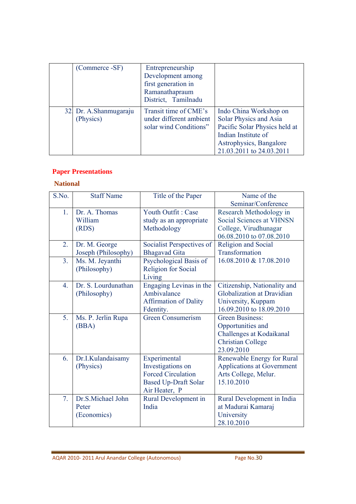| (Commerce -SF)                     | Entrepreneurship<br>Development among<br>first generation in<br>Ramanathapraum<br>District, Tamilnadu |                                                                                                                                                                 |
|------------------------------------|-------------------------------------------------------------------------------------------------------|-----------------------------------------------------------------------------------------------------------------------------------------------------------------|
| 32 Dr. A.Shanmugaraju<br>(Physics) | Transit time of CME's<br>under different ambient<br>solar wind Conditions"                            | Indo China Workshop on<br>Solar Physics and Asia<br>Pacific Solar Physics held at<br>Indian Institute of<br>Astrophysics, Bangalore<br>21.03.2011 to 24.03.2011 |

# **Paper Presentations**

# **National**

| S.No.          | <b>Staff Name</b>   | Title of the Paper           | Name of the                       |
|----------------|---------------------|------------------------------|-----------------------------------|
|                |                     |                              | Seminar/Conference                |
| 1.             | Dr. A. Thomas       | Youth Outfit: Case           | Research Methodology in           |
|                | William             | study as an appropriate      | <b>Social Sciences at VHNSN</b>   |
|                | (RDS)               | Methodology                  | College, Virudhunagar             |
|                |                     |                              | 06.08.2010 to 07.08.2010          |
| 2.             | Dr. M. George       | Socialist Perspectives of    | Religion and Social               |
|                | Joseph (Philosophy) | <b>Bhagavad Gita</b>         | Transformation                    |
| 3 <sub>1</sub> | Ms. M. Jeyanthi     | Psychological Basis of       | 16.08.2010 & 17.08.2010           |
|                | (Philosophy)        | <b>Religion for Social</b>   |                                   |
|                |                     | Living                       |                                   |
| $4_{\cdot}$    | Dr. S. Lourdunathan | Engaging Levinas in the      | Citizenship, Nationality and      |
|                | (Philosophy)        | Ambivalance                  | Globalization at Dravidian        |
|                |                     | <b>Affirmation of Dality</b> | University, Kuppam                |
|                |                     | Fdentity.                    | 16.09.2010 to 18.09.2010          |
| 5.             | Ms. P. Jerlin Rupa  | <b>Green Consumerism</b>     | <b>Green Business:</b>            |
|                | (BBA)               |                              | Opportunities and                 |
|                |                     |                              | Challenges at Kodaikanal          |
|                |                     |                              | <b>Christian College</b>          |
|                |                     |                              | 23.09.2010                        |
| 6.             | Dr.I.Kulandaisamy   | Experimental                 | Renewable Energy for Rural        |
|                | (Physics)           | Investigations on            | <b>Applications at Government</b> |
|                |                     | <b>Forced Circulation</b>    | Arts College, Melur.              |
|                |                     | <b>Based Up-Draft Solar</b>  | 15.10.2010                        |
|                |                     | Air Heater, P                |                                   |
| 7 <sub>1</sub> | Dr.S.Michael John   | Rural Development in         | Rural Development in India        |
|                | Peter               | India                        | at Madurai Kamaraj                |
|                | (Economics)         |                              | University                        |
|                |                     |                              | 28.10.2010                        |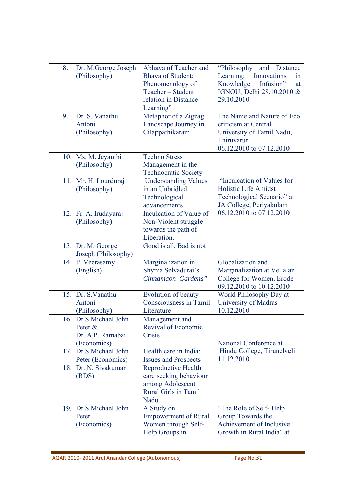| 8.  | Dr. M.George Joseph | Abhava of Teacher and       | and Distance<br>"Philosophy" |
|-----|---------------------|-----------------------------|------------------------------|
|     | (Philosophy)        | <b>Bhava of Student:</b>    | Learning: Innovations<br>1n  |
|     |                     | Phenomenology of            | Knowledge<br>Infusion"<br>at |
|     |                     | Teacher - Student           | IGNOU, Delhi 28.10.2010 &    |
|     |                     | relation in Distance        | 29.10.2010                   |
|     |                     | Learning"                   |                              |
| 9.  | Dr. S. Vanathu      | Metaphor of a Zigzag        | The Name and Nature of Eco   |
|     | Antoni              | Landscape Journey in        | criticism at Central         |
|     | (Philosophy)        | Cilappathikaram             | University of Tamil Nadu,    |
|     |                     |                             | Thiruvarur                   |
|     |                     |                             | 06.12.2010 to 07.12.2010     |
| 10. | Ms. M. Jeyanthi     | <b>Techno Stress</b>        |                              |
|     | (Philosophy)        | Management in the           |                              |
|     |                     | <b>Technocratic Society</b> |                              |
| 11. | Mr. H. Lourduraj    | <b>Understanding Values</b> | "Inculcation of Values for   |
|     | (Philosophy)        | in an Unbridled             | Holistic Life Amidst         |
|     |                     | Technological               | Technological Scenario" at   |
|     |                     | advancements                | JA College, Periyakulam      |
| 12. | Fr. A. Irudayaraj   | Inculcation of Value of     | 06.12.2010 to 07.12.2010     |
|     | (Philosophy)        | Non-Violent struggle        |                              |
|     |                     | towards the path of         |                              |
|     |                     | Liberation.                 |                              |
| 13. | Dr. M. George       | Good is all, Bad is not     |                              |
|     | Joseph (Philosophy) |                             |                              |
| 14. | P. Veerasamy        | Marginalization in          | Globalization and            |
|     | (English)           | Shyma Selvadurai's          | Marginalization at Vellalar  |
|     |                     | Cinnamaon Gardens"          | College for Women, Erode     |
|     |                     |                             | 09.12.2010 to 10.12.2010     |
| 15. | Dr. S. Vanathu      | Evolution of beauty         | World Philosophy Day at      |
|     | Antoni              | Consciousness in Tamil      | University of Madras         |
|     | (Philosophy)        | Literature                  | 10.12.2010                   |
| 16. | Dr.S.Michael John   | Management and              |                              |
|     | Peter &             | Revival of Economic         |                              |
|     | Dr. A.P. Ramabai    | Crisis                      |                              |
|     | (Economics)         |                             | National Conference at       |
| 17. | Dr.S.Michael John   | Health care in India:       | Hindu College, Tirunelveli   |
|     | Peter (Economics)   | <b>Issues and Prospects</b> | 11.12.2010                   |
| 18. | Dr. N. Sivakumar    | <b>Reproductive Health</b>  |                              |
|     | (RDS)               | care seeking behaviour      |                              |
|     |                     | among Adolescent            |                              |
|     |                     | <b>Rural Girls in Tamil</b> |                              |
|     |                     | Nadu                        |                              |
| 19. | Dr.S.Michael John   | A Study on                  | "The Role of Self-Help       |
|     | Peter               | <b>Empowerment of Rural</b> | Group Towards the            |
|     | (Economics)         | Women through Self-         | Achievement of Inclusive     |
|     |                     | Help Groups in              | Growth in Rural India" at    |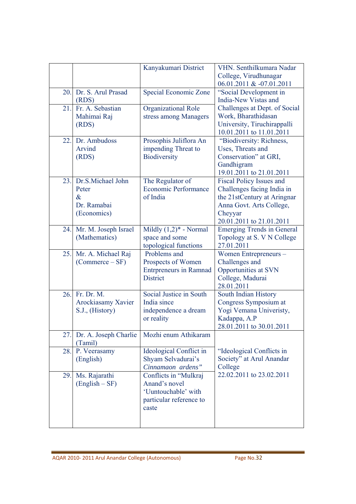|     |                                                                  | Kanyakumari District                                                                              | VHN. Senthilkumara Nadar<br>College, Virudhunagar<br>06.01.2011 & -07.01.2011                                                                                   |
|-----|------------------------------------------------------------------|---------------------------------------------------------------------------------------------------|-----------------------------------------------------------------------------------------------------------------------------------------------------------------|
| 20. | Dr. S. Arul Prasad<br>(RDS)                                      | Special Economic Zone                                                                             | "Social Development in<br>India-New Vistas and                                                                                                                  |
| 21. | Fr. A. Sebastian<br>Mahimai Raj<br>(RDS)                         | Organizational Role<br>stress among Managers                                                      | Challenges at Dept. of Social<br>Work, Bharathidasan<br>University, Tiruchirappalli<br>10.01.2011 to 11.01.2011                                                 |
| 22. | Dr. Ambudoss<br>Arvind<br>(RDS)                                  | Prosophis Juliflora An<br>impending Threat to<br>Biodiversity                                     | "Biodiversity: Richness,<br>Uses, Threats and<br>Conservation" at GRI,<br>Gandhigram<br>19.01.2011 to 21.01.2011                                                |
| 23. | Dr.S.Michael John<br>Peter<br>$\&$<br>Dr. Ramabai<br>(Economics) | The Regulator of<br><b>Economic Performance</b><br>of India                                       | <b>Fiscal Policy Issues and</b><br>Challenges facing India in<br>the 21stCentury at Aringnar<br>Anna Govt. Arts College,<br>Cheyyar<br>20.01.2011 to 21.01.2011 |
| 24. | Mr. M. Joseph Israel<br>(Mathematics)                            | Mildly $(1,2)^*$ - Normal<br>space and some<br>topological functions                              | <b>Emerging Trends in General</b><br>Topology at S. V N College<br>27.01.2011                                                                                   |
| 25. | Mr. A. Michael Raj<br>$(Commerce - SF)$                          | Problems and<br>Prospects of Women<br><b>Entrpreneurs in Ramnad</b><br><b>District</b>            | Women Entrepreneurs-<br>Challenges and<br>Opportunities at SVN<br>College, Madurai<br>28.01.2011                                                                |
| 26. | Fr. Dr. M.<br>Arockiasamy Xavier<br>S.J., (History)              | Social Justice in South<br>India since<br>independence a dream<br>or reality                      | South Indian History<br>Congress Symposium at<br>Yogi Vemana Univeristy,<br>Kadappa, A.P<br>28.01.2011 to 30.01.2011                                            |
| 27. | Dr. A. Joseph Charlie<br>(Tamil)                                 | Mozhi enum Athikaram                                                                              |                                                                                                                                                                 |
| 28. | P. Veerasamy<br>(English)                                        | Ideological Conflict in<br>Shyam Selvadurai's<br>Cinnamaon ardens"                                | "Ideological Conflicts in<br>Society" at Arul Anandar<br>College                                                                                                |
| 29. | Ms. Rajarathi<br>$(English - SF)$                                | Conflicts in "Mulkraj<br>Anand's novel<br>'Uuntouchable' with<br>particular reference to<br>caste | 22.02.2011 to 23.02.2011                                                                                                                                        |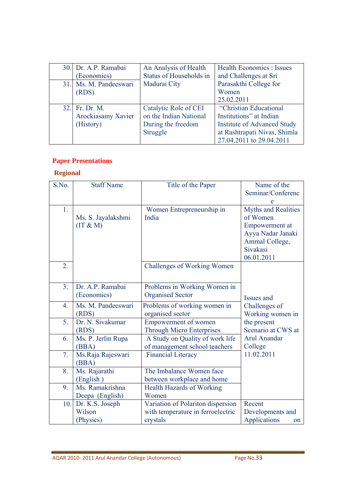| 30. Dr. A.P. Ramabai<br>(Economics) | An Analysis of Health<br>Status of Households in | Health Economics : Issues<br>and Challenges at Sri |
|-------------------------------------|--------------------------------------------------|----------------------------------------------------|
| 31. Ms. M. Pandeeswari              | Madurai City                                     | Parasakthi College for                             |
| (RDS)                               |                                                  | Women                                              |
|                                     |                                                  | 25.02.2011                                         |
| 32. Fr. Dr. M.                      | Catalytic Role of CEI                            | "Christian Educational                             |
| Arockiasamy Xavier                  | on the Indian National                           | Institutions" at Indian                            |
| (History)                           | During the freedom                               | <b>Institute of Advanced Study</b>                 |
|                                     | Struggle                                         | at Rashtrapati Nivas, Shimla                       |
|                                     |                                                  | 27.04.2011 to 29.04.2011                           |

# **Paper Presentations**

# **Regional**

| S.No.            | <b>Staff Name</b>                      | Title of the Paper                                                                 | Name of the<br>Seminar/Conferenc<br>e                                                                                            |
|------------------|----------------------------------------|------------------------------------------------------------------------------------|----------------------------------------------------------------------------------------------------------------------------------|
| 1.               | Ms. S. Jayalakshmi<br>(IT & M)         | Women Entrepreneurship in<br>India                                                 | <b>Myths and Realities</b><br>of Women<br><b>Empowerment</b> at<br>Ayya Nadar Janaki<br>Ammal College,<br>Sivakasi<br>06.01.2011 |
| $\overline{2}$ . |                                        | <b>Challenges of Working Women</b>                                                 |                                                                                                                                  |
| 3 <sub>1</sub>   | Dr. A.P. Ramabai<br>(Economics)        | Problems in Working Women in<br><b>Organised Sector</b>                            | Issues and                                                                                                                       |
| $\overline{4}$ . | Ms. M. Pandeeswari<br>(RDS)            | Problems of working women in<br>organised sector                                   | Challenges of<br>Working women in                                                                                                |
| 5 <sub>1</sub>   | Dr. N. Sivakumar<br>(RDS)              | Empowerment of women<br><b>Through Micro Enterprises</b>                           | the present<br>Scenario at CWS at                                                                                                |
| 6.               | Ms. P. Jerlin Rupa<br>(BBA)            | A Study on Quality of work life<br>of management school teachers                   | Arul Anandar<br>College                                                                                                          |
| 7.               | Ms.Raja Rajeswari<br>(BBA)             | <b>Financial Literacy</b>                                                          | 11.02.2011                                                                                                                       |
| 8.               | Ms. Rajarathi<br>(English)             | The Imbalance Women face<br>between workplace and home                             |                                                                                                                                  |
| 9.               | Ms. Ramakrishna<br>Deepa (English)     | <b>Health Hazards of Working</b><br>Women                                          |                                                                                                                                  |
| 10.              | Dr. K.S. Joseph<br>Wilson<br>(Physics) | Variation of Polariton dispersion<br>with temperature in ferroelectric<br>crystals | Recent<br>Developments and<br>Applications<br>on                                                                                 |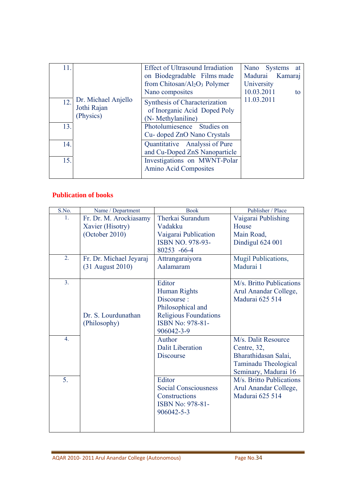| 11. |                                                 | <b>Effect of Ultrasound Irradiation</b><br>on Biodegradable Films made<br>from Chitosan/ $Al_2O_3$ Polymer<br>Nano composites | Nano Systems at<br>Madurai Kamaraj<br>University<br>10.03.2011<br>to |
|-----|-------------------------------------------------|-------------------------------------------------------------------------------------------------------------------------------|----------------------------------------------------------------------|
| 12. | Dr. Michael Anjello<br>Jothi Rajan<br>(Physics) | Synthesis of Characterization<br>of Inorganic Acid Doped Poly<br>(N- Methylaniline)                                           | 11.03.2011                                                           |
| 13. |                                                 | Photolumiesence Studies on<br>Cu-doped ZnO Nano Crystals                                                                      |                                                                      |
| 14. |                                                 | Quantitative Analyssi of Pure<br>and Cu-Doped ZnS Nanoparticle                                                                |                                                                      |
| 15. |                                                 | Investigations on MWNT-Polar<br><b>Amino Acid Composites</b>                                                                  |                                                                      |

# **Publication of books**

| S.No.            | Name / Department       | <b>Book</b>                  | Publisher / Place           |
|------------------|-------------------------|------------------------------|-----------------------------|
| 1.               | Fr. Dr. M. Arockiasamy  | Therkai Surandum             | Vaigarai Publishing         |
|                  | Xavier (Hisotry)        | Vadakku                      | House                       |
|                  | (October 2010)          | Vaigarai Publication         | Main Road,                  |
|                  |                         | ISBN NO. 978-93-             | Dindigul 624 001            |
|                  |                         | 80253 -66-4                  |                             |
| 2.               | Fr. Dr. Michael Jeyaraj | Attrangaraiyora              | Mugil Publications,         |
|                  | (31 August 2010)        | Aalamaram                    | Madurai 1                   |
|                  |                         |                              |                             |
| 3 <sub>1</sub>   |                         | Editor                       | M/s. Britto Publications    |
|                  |                         | Human Rights                 | Arul Anandar College,       |
|                  |                         | Discourse:                   | Madurai 625 514             |
|                  |                         | Philosophical and            |                             |
|                  | Dr. S. Lourdunathan     | <b>Religious Foundations</b> |                             |
|                  | (Philosophy)            | ISBN No: 978-81-             |                             |
|                  |                         | 906042-3-9                   |                             |
| $\overline{4}$ . |                         | Author                       | M/s. Dalit Resource         |
|                  |                         | <b>Dalit Liberation</b>      | Centre, 32,                 |
|                  |                         | <b>Discourse</b>             | Bharathidasan Salai,        |
|                  |                         |                              | <b>Taminadu Theological</b> |
|                  |                         |                              | Seminary, Madurai 16        |
| 5 <sub>1</sub>   |                         | Editor                       | M/s. Britto Publications    |
|                  |                         | <b>Social Consciousness</b>  | Arul Anandar College,       |
|                  |                         | Constructions                | Madurai 625 514             |
|                  |                         | ISBN No: 978-81-             |                             |
|                  |                         | 906042-5-3                   |                             |
|                  |                         |                              |                             |
|                  |                         |                              |                             |
|                  |                         |                              |                             |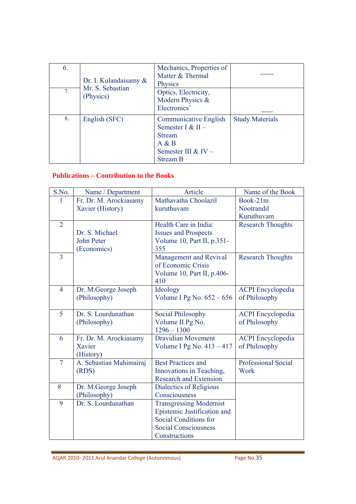| 6. | Dr. I. Kulandaisamy $\&$      | Mechanics, Properties of<br>Matter & Thermal<br><b>Physics</b>                                                          |                        |
|----|-------------------------------|-------------------------------------------------------------------------------------------------------------------------|------------------------|
| 7. | Mr. S. Sebastian<br>(Physics) | Optics, Electricity,<br>Modern Physics &<br>Electronics'                                                                |                        |
| 8. | English (SFC)                 | <b>Communicative English</b><br>Semester I & $II -$<br><b>Stream</b><br>A & B<br>Semester III & IV -<br><b>Stream B</b> | <b>Study Materials</b> |

#### **Publications – Contribution to the Books**

| S.No.          | Name / Department       | Article                        | Name of the Book           |
|----------------|-------------------------|--------------------------------|----------------------------|
|                | Fr. Dr. M. Arockiasamy  | Mathavatha Choolazil           | Book-21m                   |
|                |                         |                                |                            |
|                | Xavier (History)        | kuruthuvam                     | Nootrandil                 |
|                |                         |                                | Kuruthuvam                 |
| $\overline{2}$ |                         | Health Care in India:          | <b>Research Thoughts</b>   |
|                | Dr. S. Michael          | <b>Issues and Prospects</b>    |                            |
|                | John Peter              | Volume 10, Part II, p.351-     |                            |
|                | (Economics)             | 355                            |                            |
| $\overline{3}$ |                         | Management and Revival         | <b>Research Thoughts</b>   |
|                |                         | of Economic Crisis             |                            |
|                |                         | Volume 10, Part II, p.406-     |                            |
|                |                         | 410                            |                            |
| $\overline{4}$ | Dr. M.George Joseph     | Ideology                       | <b>ACPI</b> Encyclopedia   |
|                | (Philosophy)            | Volume I Pg No. $652 - 656$    | of Philosophy              |
|                |                         |                                |                            |
| 5              | Dr. S. Lourdunathan     | <b>Social Philosophy</b>       | <b>ACPI</b> Encyclopedia   |
|                | (Philosophy)            | Volume II Pg No.               | of Philosophy              |
|                |                         | $1296 - 1300$                  |                            |
| 6              | Fr. Dr. M. Arockiasamy  | <b>Dravidian Movement</b>      | <b>ACPI</b> Encyclopedia   |
|                | Xavier                  | Volume I Pg No. 413 - 417      | of Philosophy              |
|                | (History)               |                                |                            |
| $\overline{7}$ | A. Sebastian Mahimairaj | <b>Best Practices and</b>      | <b>Professional Social</b> |
|                | (RDS)                   | Innovations in Teaching,       | Work                       |
|                |                         | <b>Research and Extension</b>  |                            |
| 8              | Dr. M.George Joseph     | Dialectics of Religious        |                            |
|                | (Philosophy)            | Consciousness                  |                            |
| 9              | Dr. S. Lourdunathan     | <b>Transgressing Modernist</b> |                            |
|                |                         | Epistemic Justification and    |                            |
|                |                         | Social Conditions for          |                            |
|                |                         | <b>Social Consciousness</b>    |                            |
|                |                         | Constructions                  |                            |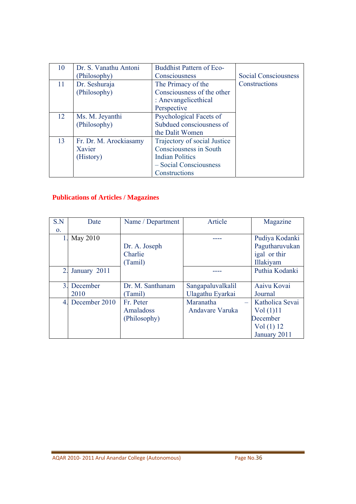| 10 | Dr. S. Vanathu Antoni  | <b>Buddhist Pattern of Eco-</b> |                             |
|----|------------------------|---------------------------------|-----------------------------|
|    | (Philosophy)           | Consciousness                   | <b>Social Consciousness</b> |
| 11 | Dr. Seshuraja          | The Primacy of the              | Constructions               |
|    | (Philosophy)           | Consciousness of the other      |                             |
|    |                        | : Anevangelicethical            |                             |
|    |                        | Perspective                     |                             |
| 12 | Ms. M. Jeyanthi        | Psychological Facets of         |                             |
|    | (Philosophy)           | Subdued consciousness of        |                             |
|    |                        | the Dalit Women                 |                             |
| 13 | Fr. Dr. M. Arockiasamy | Trajectory of social Justice    |                             |
|    | Xavier                 | Consciousness in South          |                             |
|    | (History)              | <b>Indian Politics</b>          |                             |
|    |                        | - Social Consciousness          |                             |
|    |                        | Constructions                   |                             |

# **Publications of Articles / Magazines**

| S.N              | Date          | Name / Department | Article           | Magazine        |
|------------------|---------------|-------------------|-------------------|-----------------|
| $\mathbf{O}$ .   |               |                   |                   |                 |
|                  | May 2010      |                   |                   | Pudiya Kodanki  |
|                  |               | Dr. A. Joseph     |                   | Pagutharuvukan  |
|                  |               | Charlie           |                   | igal or thir    |
|                  |               | (Tamil)           |                   | Illakiyam       |
| $\overline{2}$ . | January 2011  |                   |                   | Puthia Kodanki  |
|                  |               |                   |                   |                 |
| $\overline{3}$ . | December      | Dr. M. Santhanam  | Sangapaluvalkalil | Aaivu Kovai     |
|                  | 2010          | (Tamil)           | Ulagathu Eyarkai  | Journal         |
| 4                | December 2010 | Fr. Peter         | Maranatha         | Katholica Sevai |
|                  |               | Amaladoss         | Andavare Varuka   | Vol(1)11        |
|                  |               | (Philosophy)      |                   | December        |
|                  |               |                   |                   | Vol(1) 12       |
|                  |               |                   |                   | January 2011    |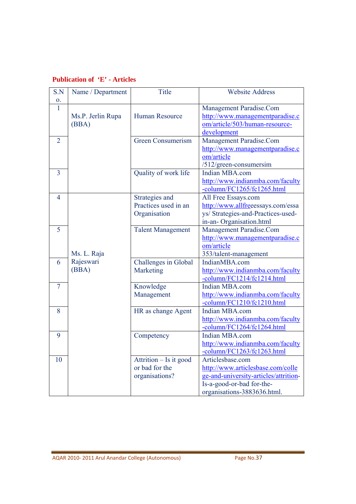| S.N            | Name / Department | <b>Title</b>             | <b>Website Address</b>                |
|----------------|-------------------|--------------------------|---------------------------------------|
| 0.             |                   |                          |                                       |
| 1              |                   |                          | Management Paradise.Com               |
|                | Ms.P. Jerlin Rupa | Human Resource           | http://www.managementparadise.c       |
|                | (BBA)             |                          | om/article/503/human-resource-        |
|                |                   |                          | development                           |
| $\overline{2}$ |                   | <b>Green Consumerism</b> | Management Paradise.Com               |
|                |                   |                          | http://www.managementparadise.c       |
|                |                   |                          | om/article                            |
|                |                   |                          | /512/green-consumersim                |
| $\overline{3}$ |                   | Quality of work life     | Indian MBA.com                        |
|                |                   |                          | http://www.indianmba.com/faculty      |
|                |                   |                          | -column/FC1265/fc1265.html            |
| $\overline{4}$ |                   | Strategies and           | All Free Essays.com                   |
|                |                   | Practices used in an     | http://www.allfreeessays.com/essa     |
|                |                   | Organisation             | ys/ Strategies-and-Practices-used-    |
|                |                   |                          | in-an-Organisation.html               |
| 5              |                   | <b>Talent Management</b> | Management Paradise.Com               |
|                |                   |                          | http://www.managementparadise.c       |
|                |                   |                          | om/article                            |
|                | Ms. L. Raja       |                          | 353/talent-management                 |
| 6              | Rajeswari         | Challenges in Global     | IndianMBA.com                         |
|                | (BBA)             | Marketing                | http://www.indianmba.com/faculty      |
|                |                   |                          | -column/FC1214/fc1214.html            |
| $\overline{7}$ |                   | Knowledge                | Indian MBA.com                        |
|                |                   | Management               | http://www.indianmba.com/faculty      |
|                |                   |                          | -column/FC1210/fc1210.html            |
| 8              |                   | HR as change Agent       | Indian MBA.com                        |
|                |                   |                          | http://www.indianmba.com/faculty      |
|                |                   |                          | -column/FC1264/fc1264.html            |
| 9              |                   | Competency               | Indian MBA.com                        |
|                |                   |                          | http://www.indianmba.com/faculty      |
|                |                   |                          | -column/FC1263/fc1263.html            |
| 10             |                   | Attrition - Is it good   | Articlesbase.com                      |
|                |                   | or bad for the           | http://www.articlesbase.com/colle     |
|                |                   | organisations?           | ge-and-university-articles/attrition- |
|                |                   |                          | Is-a-good-or-bad for-the-             |
|                |                   |                          | organisations-3883636.html.           |

# **Publication of 'E' - Articles**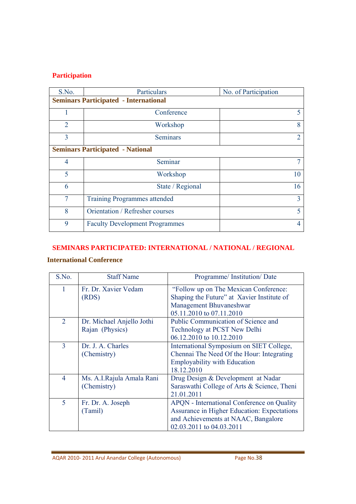# **Participation**

| S.No.          | Particulars                                  | No. of Participation |  |
|----------------|----------------------------------------------|----------------------|--|
|                | <b>Seminars Participated - International</b> |                      |  |
|                | Conference                                   | 5                    |  |
| $\overline{2}$ | Workshop                                     | 8                    |  |
| 3              | <b>Seminars</b>                              | 2                    |  |
|                | <b>Seminars Participated - National</b>      |                      |  |
| $\overline{4}$ | Seminar                                      |                      |  |
| 5              | Workshop                                     | 10                   |  |
| 6              | State / Regional                             | 16                   |  |
| 7              | <b>Training Programmes attended</b>          | 3                    |  |
| 8              | Orientation / Refresher courses              | 5                    |  |
| 9              | <b>Faculty Development Programmes</b>        |                      |  |

#### **SEMINARS PARTICIPATED: INTERNATIONAL / NATIONAL / REGIONAL**

# **International Conference**

| S.No.          | <b>Staff Name</b>                            | Programme/Institution/Date                                                                                                                                   |
|----------------|----------------------------------------------|--------------------------------------------------------------------------------------------------------------------------------------------------------------|
| 1              | Fr. Dr. Xavier Vedam<br>(RDS)                | "Follow up on The Mexican Conference:<br>Shaping the Future" at Xavier Institute of<br>Management Bhuvaneshwar<br>05.11.2010 to 07.11.2010                   |
| 2              | Dr. Michael Anjello Jothi<br>Rajan (Physics) | Public Communication of Science and<br>Technology at PCST New Delhi<br>06.12.2010 to 10.12.2010                                                              |
| 3              | Dr. J. A. Charles<br>(Chemistry)             | International Symposium on SIET College,<br>Chennai The Need Of the Hour: Integrating<br><b>Employability with Education</b><br>18.12.2010                   |
| $\overline{4}$ | Ms. A.I.Rajula Amala Rani<br>(Chemistry)     | Drug Design & Development at Nadar<br>Saraswathi College of Arts & Science, Theni<br>21.01.2011                                                              |
| 5              | Fr. Dr. A. Joseph<br>(Tamil)                 | APQN - International Conference on Quality<br>Assurance in Higher Education: Expectations<br>and Achievements at NAAC, Bangalore<br>02.03.2011 to 04.03.2011 |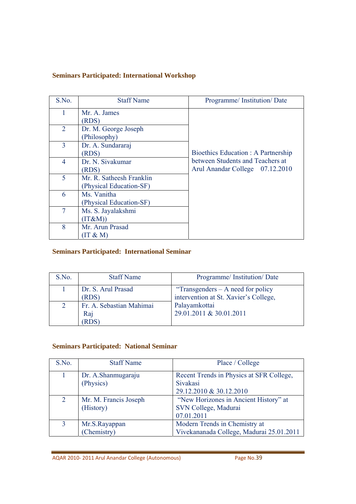### **Seminars Participated: International Workshop**

| S.No.          | <b>Staff Name</b>        | Programme/Institution/Date          |
|----------------|--------------------------|-------------------------------------|
|                | Mr. A. James             |                                     |
|                | (RDS)                    |                                     |
| $\overline{2}$ | Dr. M. George Joseph     |                                     |
|                | (Philosophy)             |                                     |
| 3              | Dr. A. Sundararaj        |                                     |
|                | (RDS)                    | Bioethics Education : A Partnership |
| $\overline{4}$ | Dr. N. Sivakumar         | between Students and Teachers at    |
|                | (RDS)                    | Arul Anandar College 07.12.2010     |
| 5              | Mr. R. Satheesh Franklin |                                     |
|                | (Physical Education-SF)  |                                     |
| 6              | Ms. Vanitha              |                                     |
|                | (Physical Education-SF)  |                                     |
| $\overline{7}$ | Ms. S. Jayalakshmi       |                                     |
|                | (IT&M))                  |                                     |
| 8              | Mr. Arun Prasad          |                                     |
|                | $(T \& M)$               |                                     |

# **Seminars Participated: International Seminar**

| S.No. | <b>Staff Name</b>        | Programme/Institution/Date            |
|-------|--------------------------|---------------------------------------|
|       | Dr. S. Arul Prasad       | "Transgenders $-$ A need for policy"  |
|       | (RDS)                    | intervention at St. Xavier's College, |
|       | Fr. A. Sebastian Mahimai | Palayamkottai                         |
|       | Raj                      | 29.01.2011 & 30.01.2011               |
|       |                          |                                       |

# **Seminars Participated: National Seminar**

| S.No.          | <b>Staff Name</b>                  | Place / College                                                                 |
|----------------|------------------------------------|---------------------------------------------------------------------------------|
|                | Dr. A.Shanmugaraju<br>(Physics)    | Recent Trends in Physics at SFR College,<br>Sivakasi<br>29.12.2010 & 30.12.2010 |
| $\overline{2}$ | Mr. M. Francis Joseph<br>(History) | "New Horizones in Ancient History" at<br>SVN College, Madurai<br>07.01.2011     |
| 3              | Mr.S.Rayappan<br>(Chemistry)       | Modern Trends in Chemistry at<br>Vivekananada College, Madurai 25.01.2011       |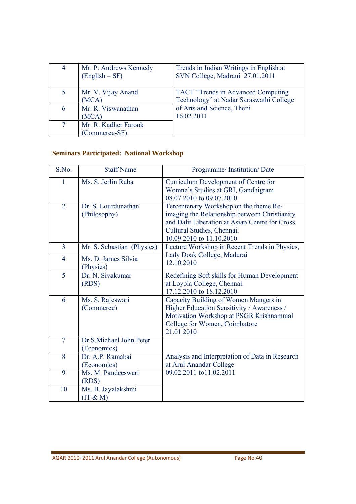| 4 | Mr. P. Andrews Kennedy<br>$(English - SF)$ | Trends in Indian Writings in English at<br>SVN College, Madraui 27.01.2011    |
|---|--------------------------------------------|-------------------------------------------------------------------------------|
| 5 | Mr. V. Vijay Anand<br>(MCA)                | TACT "Trends in Advanced Computing<br>Technology" at Nadar Saraswathi College |
| 6 | Mr. R. Viswanathan<br>(MCA)                | of Arts and Science, Theni<br>16.02.2011                                      |
|   | Mr. R. Kadher Farook<br>(Commerce-SF)      |                                                                               |

# **Seminars Participated: National Workshop**

| S.No.          | <b>Staff Name</b>                      | Programme/Institution/Date                                                                                                                                                                          |
|----------------|----------------------------------------|-----------------------------------------------------------------------------------------------------------------------------------------------------------------------------------------------------|
| 1              | Ms. S. Jerlin Ruba                     | Curriculum Development of Centre for<br>Womne's Studies at GRI, Gandhigram<br>08.07.2010 to 09.07.2010                                                                                              |
| $\overline{2}$ | Dr. S. Lourdunathan<br>(Philosophy)    | Tercentenary Workshop on the theme Re-<br>imaging the Relationship between Christianity<br>and Dalit Liberation at Asian Centre for Cross<br>Cultural Studies, Chennai.<br>10.09.2010 to 11.10.2010 |
| $\overline{3}$ | Mr. S. Sebastian (Physics)             | Lecture Workshop in Recent Trends in Physics,                                                                                                                                                       |
| $\overline{4}$ | Ms. D. James Silvia<br>(Physics)       | Lady Doak College, Madurai<br>12.10.2010                                                                                                                                                            |
| 5              | Dr. N. Sivakumar<br>(RDS)              | Redefining Soft skills for Human Development<br>at Loyola College, Chennai.<br>17.12.2010 to 18.12.2010                                                                                             |
| 6              | Ms. S. Rajeswari<br>(Commerce)         | Capacity Building of Women Mangers in<br>Higher Education Sensitivity / Awareness /<br>Motivation Workshop at PSGR Krishnammal<br>College for Women, Coimbatore<br>21.01.2010                       |
| $\overline{7}$ | Dr.S.Michael John Peter<br>(Economics) |                                                                                                                                                                                                     |
| 8              | Dr. A.P. Ramabai<br>(Economics)        | Analysis and Interpretation of Data in Research<br>at Arul Anandar College                                                                                                                          |
| 9              | Ms. M. Pandeeswari<br>(RDS)            | 09.02.2011 to11.02.2011                                                                                                                                                                             |
| 10             | Ms. B. Jayalakshmi<br>(IT & M)         |                                                                                                                                                                                                     |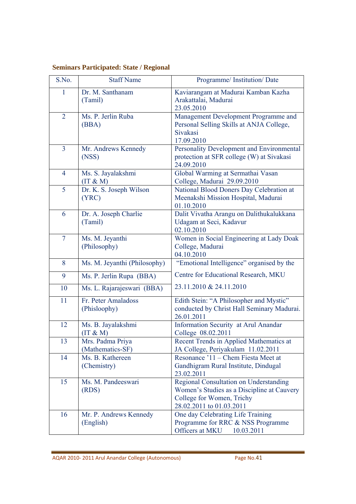# **Seminars Participated: State / Regional**

| S.No.          | <b>Staff Name</b>                    | Programme/ Institution/ Date                                                                                                                  |
|----------------|--------------------------------------|-----------------------------------------------------------------------------------------------------------------------------------------------|
| $\mathbf{1}$   | Dr. M. Santhanam<br>(Tamil)          | Kaviarangam at Madurai Kamban Kazha<br>Arakattalai, Madurai<br>23.05.2010                                                                     |
| $\overline{2}$ | Ms. P. Jerlin Ruba<br>(BBA)          | Management Development Programme and<br>Personal Selling Skills at ANJA College,<br>Sivakasi<br>17.09.2010                                    |
| $\overline{3}$ | Mr. Andrews Kennedy<br>(NSS)         | Personality Development and Environmental<br>protection at SFR college (W) at Sivakasi<br>24.09.2010                                          |
| $\overline{4}$ | Ms. S. Jayalakshmi<br>(IT & M)       | Global Warming at Sermathai Vasan<br>College, Madurai 29.09.2010                                                                              |
| 5              | Dr. K. S. Joseph Wilson<br>(YRC)     | National Blood Doners Day Celebration at<br>Meenakshi Mission Hospital, Madurai<br>01.10.2010                                                 |
| 6              | Dr. A. Joseph Charlie<br>(Tamil)     | Dalit Vivatha Arangu on Dalithukalukkana<br>Udagam at Seci, Kadavur<br>02.10.2010                                                             |
| $\overline{7}$ | Ms. M. Jeyanthi<br>(Philosophy)      | Women in Social Engineering at Lady Doak<br>College, Madurai<br>04.10.2010                                                                    |
| 8              | Ms. M. Jeyanthi (Philosophy)         | "Emotional Intelligence" organised by the                                                                                                     |
| 9              | Ms. P. Jerlin Rupa (BBA)             | Centre for Educational Research, MKU                                                                                                          |
| 10             | Ms. L. Rajarajeswari (BBA)           | 23.11.2010 & 24.11.2010                                                                                                                       |
| 11             | Fr. Peter Amaladoss<br>(Phisloophy)  | Edith Stein: "A Philosopher and Mystic"<br>conducted by Christ Hall Seminary Madurai.<br>26.01.2011                                           |
| 12             | Ms. B. Jayalakshmi<br>$(T \& M)$     | Information Security at Arul Anandar<br>College 08.02.2011                                                                                    |
| 13             | Mrs. Padma Priya<br>(Mathematics-SF) | Recent Trends in Applied Mathematics at<br>JA College, Periyakulam 11.02.2011                                                                 |
| 14             | Ms. B. Kathereen<br>(Chemistry)      | Resonance '11 – Chem Fiesta Meet at<br>Gandhigram Rural Institute, Dindugal<br>23.02.2011                                                     |
| 15             | Ms. M. Pandeeswari<br>(RDS)          | Regional Consultation on Understanding<br>Women's Studies as a Discipline at Cauvery<br>College for Women, Trichy<br>28.02.2011 to 01.03.2011 |
| 16             | Mr. P. Andrews Kennedy<br>(English)  | One day Celebrating Life Training<br>Programme for RRC & NSS Programme<br>Officers at MKU<br>10.03.2011                                       |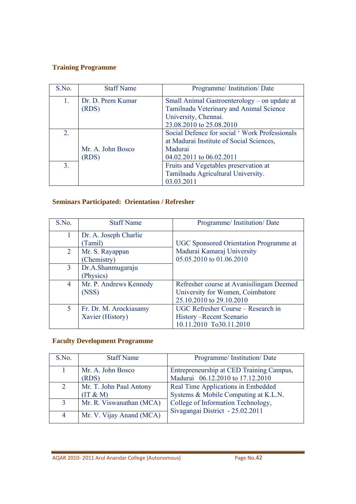# **Training Programme**

| S.No.          | <b>Staff Name</b>          | Programme/Institution/Date                                                              |
|----------------|----------------------------|-----------------------------------------------------------------------------------------|
| 1.             | Dr. D. Prem Kumar<br>(RDS) | Small Animal Gastroenterology – on update at<br>Tamilnadu Veterinary and Animal Science |
|                |                            | University, Chennai.                                                                    |
|                |                            | 23.08.2010 to 25.08.2010                                                                |
| 2.             |                            | Social Defence for social 'Work Professionals                                           |
|                |                            | at Madurai Institute of Social Sciences,                                                |
|                | Mr. A. John Bosco          | Madurai                                                                                 |
|                | (RDS)                      | 04.02.2011 to 06.02.2011                                                                |
| 3 <sub>1</sub> |                            | Fruits and Vegetables preservation at                                                   |
|                |                            | Tamilnadu Agricultural University.                                                      |
|                |                            | 03.03.2011                                                                              |

# **Seminars Participated: Orientation / Refresher**

| S.No.          | <b>Staff Name</b>      | Programme/Institution/Date                    |
|----------------|------------------------|-----------------------------------------------|
|                |                        |                                               |
|                | Dr. A. Joseph Charlie  |                                               |
|                | Tamil)                 | <b>UGC</b> Sponsored Orientation Programme at |
| $\overline{2}$ | Mr. S. Rayappan        | Madurai Kamaraj University                    |
|                | (Chemistry)            | 05.05.2010 to 01.06.2010                      |
| $\overline{3}$ | Dr.A.Shanmugaraju      |                                               |
|                | (Physics)              |                                               |
| $\overline{4}$ | Mr. P. Andrews Kennedy | Refresher course at Avanisilingam Deemed      |
|                | (NSS)                  | University for Women, Coimbatore              |
|                |                        | 25.10.2010 to 29.10.2010                      |
| 5              | Fr. Dr. M. Arockiasamy | UGC Refresher Course – Research in            |
|                | Xavier (History)       | History – Recent Scenario                     |
|                |                        | 10.11.2010 To30.11.2010                       |

# **Faculty Development Programme**

| S.No.          | <b>Staff Name</b>                   | Programme/Institution/Date                                                   |
|----------------|-------------------------------------|------------------------------------------------------------------------------|
|                | Mr. A. John Bosco<br>(RDS)          | Entrepreneurship at CED Training Campus,<br>Madurai 06.12.2010 to 17.12.2010 |
| 2              | Mr. T. John Paul Antony<br>(IT & M) | Real Time Applications in Embedded<br>Systems & Mobile Computing at K.L.N.   |
| $\overline{3}$ | Mr. R. Viswanathan (MCA)            | College of Information Technology,<br>Sivagangai District - 25.02.2011       |
| 4              | Mr. V. Vijay Anand (MCA)            |                                                                              |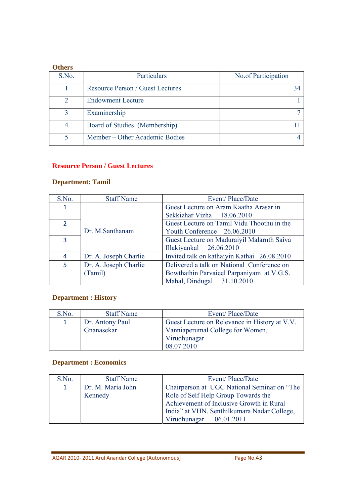#### **Others**

| S.No. | Particulars                             | No.of Participation |
|-------|-----------------------------------------|---------------------|
|       | <b>Resource Person / Guest Lectures</b> |                     |
|       | <b>Endowment Lecture</b>                |                     |
| 3     | Examinership                            |                     |
| 4     | Board of Studies (Membership)           |                     |
|       | Member – Other Academic Bodies          |                     |

#### **Resource Person / Guest Lectures**

# **Department: Tamil**

| S.No.          | <b>Staff Name</b>     | Event/Place/Date                            |
|----------------|-----------------------|---------------------------------------------|
| $\mathbf{1}$   |                       | Guest Lecture on Aram Kaatha Arasar in      |
|                |                       | Sekkizhar Vizha 18.06.2010                  |
| $\overline{2}$ |                       | Guest Lecture on Tamil Vidu Thoothu in the  |
|                | Dr. M.Santhanam       | Youth Conference 26.06.2010                 |
| 3              |                       | Guest Lecture on Maduraiyil Malarnth Saiva  |
|                |                       | Illakiyankal 26.06.2010                     |
| 4              | Dr. A. Joseph Charlie | Invited talk on kathaiyin Kathai 26.08.2010 |
| 5              | Dr. A. Joseph Charlie | Delivered a talk on National Conference on  |
|                | (Tamil)               | Bowthathin Parvaieel Parpaniyam at V.G.S.   |
|                |                       | Mahal, Dindugal 31.10.2010                  |

# **Department : History**

| S.No.        | <b>Staff Name</b> | Event/Place/Date                              |
|--------------|-------------------|-----------------------------------------------|
| $\mathbf{1}$ | Dr. Antony Paul   | Guest Lecture on Relevance in History at V.V. |
|              | Gnanasekar        | Vanniaperumal College for Women,              |
|              |                   | Virudhunagar                                  |
|              |                   | 08.07.2010                                    |

#### **Department : Economics**

| S.No.        | <b>Staff Name</b> | Event/Place/Date                            |
|--------------|-------------------|---------------------------------------------|
| $\mathbf{1}$ | Dr. M. Maria John | Chairperson at UGC National Seminar on "The |
|              | Kennedy           | Role of Self Help Group Towards the         |
|              |                   | Achievement of Inclusive Growth in Rural    |
|              |                   | India" at VHN. Senthilkumara Nadar College, |
|              |                   | Virudhunagar 06.01.2011                     |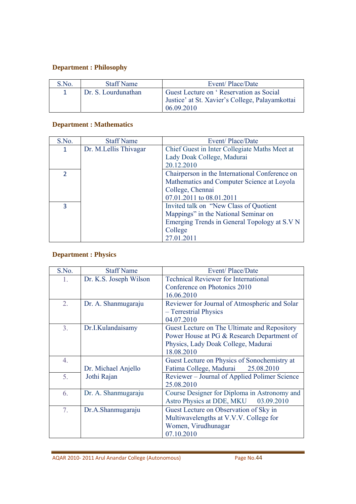# **Department : Philosophy**

| S.No. | <b>Staff Name</b>   | Event/Place/Date                                                                                         |
|-------|---------------------|----------------------------------------------------------------------------------------------------------|
|       | Dr. S. Lourdunathan | Guest Lecture on 'Reservation as Social<br>Justice' at St. Xavier's College, Palayamkottai<br>06.09.2010 |

# **Department : Mathematics**

| S.No.          | <b>Staff Name</b>     | Event/Place/Date                               |
|----------------|-----------------------|------------------------------------------------|
| 1              | Dr. M.Lellis Thivagar | Chief Guest in Inter Collegiate Maths Meet at  |
|                |                       | Lady Doak College, Madurai                     |
|                |                       | 20.12.2010                                     |
| $\overline{2}$ |                       | Chairperson in the International Conference on |
|                |                       | Mathematics and Computer Science at Loyola     |
|                |                       | College, Chennai                               |
|                |                       | 07.01.2011 to 08.01.2011                       |
| 3              |                       | Invited talk on "New Class of Quotient"        |
|                |                       | Mappings" in the National Seminar on           |
|                |                       | Emerging Trends in General Topology at S.V N   |
|                |                       | College                                        |
|                |                       | 27.01.2011                                     |

# **Department : Physics**

| S.No.            | <b>Staff Name</b>      | Event/Place/Date                              |
|------------------|------------------------|-----------------------------------------------|
| 1.               | Dr. K.S. Joseph Wilson | <b>Technical Reviewer for International</b>   |
|                  |                        | Conference on Photonics 2010                  |
|                  |                        | 16.06.2010                                    |
| $\overline{2}$ . | Dr. A. Shanmugaraju    | Reviewer for Journal of Atmospheric and Solar |
|                  |                        | - Terrestrial Physics                         |
|                  |                        | 04.07.2010                                    |
| 3 <sub>1</sub>   | Dr.I.Kulandaisamy      | Guest Lecture on The Ultimate and Repository  |
|                  |                        | Power House at PG & Research Department of    |
|                  |                        | Physics, Lady Doak College, Madurai           |
|                  |                        | 18.08.2010                                    |
| 4.               |                        | Guest Lecture on Physics of Sonochemistry at  |
|                  | Dr. Michael Anjello    | Fatima College, Madurai<br>25.08.2010         |
| 5.               | Jothi Rajan            | Reviewer – Journal of Applied Polimer Science |
|                  |                        | 25.08.2010                                    |
| 6.               | Dr. A. Shanmugaraju    | Course Designer for Diploma in Astronomy and  |
|                  |                        | Astro Physics at DDE, MKU 03.09.2010          |
| 7 <sub>1</sub>   | Dr.A.Shanmugaraju      | Guest Lecture on Observation of Sky in        |
|                  |                        | Multiwavelengths at V.V.V. College for        |
|                  |                        | Women, Virudhunagar                           |
|                  |                        | 07.10.2010                                    |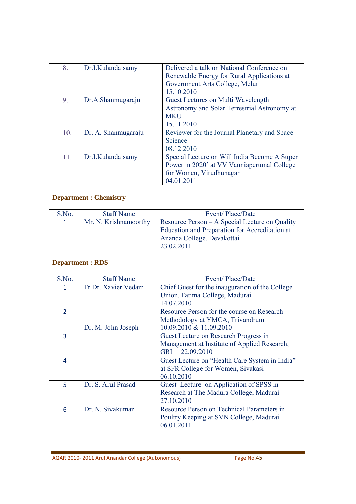| 8.  | Dr.I.Kulandaisamy   | Delivered a talk on National Conference on   |
|-----|---------------------|----------------------------------------------|
|     |                     | Renewable Energy for Rural Applications at   |
|     |                     | Government Arts College, Melur               |
|     |                     | 15.10.2010                                   |
| 9.  | Dr.A.Shanmugaraju   | Guest Lectures on Multi Wavelength           |
|     |                     | Astronomy and Solar Terrestrial Astronomy at |
|     |                     | <b>MKU</b>                                   |
|     |                     | 15.11.2010                                   |
| 10. | Dr. A. Shanmugaraju | Reviewer for the Journal Planetary and Space |
|     |                     | Science                                      |
|     |                     | 08.12.2010                                   |
| 11. | Dr.I.Kulandaisamy   | Special Lecture on Will India Become A Super |
|     |                     | Power in 2020' at VV Vanniaperumal College   |
|     |                     | for Women, Virudhunagar                      |
|     |                     | 04.01.2011                                   |

# **Department : Chemistry**

| S.No.        | <b>Staff Name</b>     | Event/Place/Date                                                                                                                             |
|--------------|-----------------------|----------------------------------------------------------------------------------------------------------------------------------------------|
| $\mathbf{1}$ | Mr. N. Krishnamoorthy | Resource Person – A Special Lecture on Quality<br>Education and Preparation for Accreditation at<br>Ananda College, Devakottai<br>23.02.2011 |

# **Department : RDS**

| S.No.         | <b>Staff Name</b>   | Event/Place/Date                                |
|---------------|---------------------|-------------------------------------------------|
| 1             | Fr.Dr. Xavier Vedam | Chief Guest for the inauguration of the College |
|               |                     | Union, Fatima College, Madurai                  |
|               |                     | 14.07.2010                                      |
| $\mathcal{P}$ |                     | Resource Person for the course on Research      |
|               |                     | Methodology at YMCA, Trivandrum                 |
|               | Dr. M. John Joseph  | 10.09.2010 & 11.09.2010                         |
| 3             |                     | Guest Lecture on Research Progress in           |
|               |                     | Management at Institute of Applied Research,    |
|               |                     | 22.09.2010<br><b>GRI</b>                        |
| 4             |                     | Guest Lecture on "Health Care System in India"  |
|               |                     | at SFR College for Women, Sivakasi              |
|               |                     | 06.10.2010                                      |
| 5.            | Dr. S. Arul Prasad  | Guest Lecture on Application of SPSS in         |
|               |                     | Research at The Madura College, Madurai         |
|               |                     | 27.10.2010                                      |
| 6             | Dr. N. Sivakumar    | Resource Person on Technical Parameters in      |
|               |                     | Poultry Keeping at SVN College, Madurai         |
|               |                     | 06.01.2011                                      |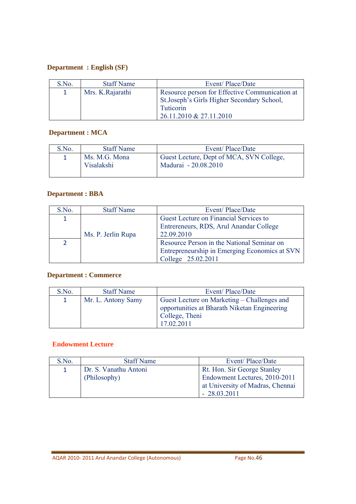# **Department : English (SF)**

| S.No.        | <b>Staff Name</b> | Event/Place/Date                                                                                                                     |
|--------------|-------------------|--------------------------------------------------------------------------------------------------------------------------------------|
| $\mathbf{1}$ | Mrs. K. Rajarathi | Resource person for Effective Communication at<br>St.Joseph's Girls Higher Secondary School,<br>Tuticorin<br>26.11.2010 & 27.11.2010 |

# **Department : MCA**

| S.No. | <b>Staff Name</b>           | Event/Place/Date                                                 |
|-------|-----------------------------|------------------------------------------------------------------|
|       | Ms. M.G. Mona<br>Visalakshi | Guest Lecture, Dept of MCA, SVN College,<br>Madurai - 20.08.2010 |

# **Department : BBA**

| S.No.         | <b>Staff Name</b>  | Event/Place/Date                              |
|---------------|--------------------|-----------------------------------------------|
| 1             |                    | Guest Lecture on Financial Services to        |
|               |                    | Entrereneurs, RDS, Arul Anandar College       |
|               | Ms. P. Jerlin Rupa | 22.09.2010                                    |
| $\mathcal{P}$ |                    | Resource Person in the National Seminar on    |
|               |                    | Entrepreneurship in Emerging Economics at SVN |
|               |                    | College 25.02.2011                            |

# **Department : Commerce**

| S.No.        | <b>Staff Name</b>  | Event/Place/Date                             |
|--------------|--------------------|----------------------------------------------|
| $\mathbf{1}$ | Mr. L. Antony Samy | Guest Lecture on Marketing – Challenges and  |
|              |                    | opportunities at Bharath Niketan Engineering |
|              |                    | College, Theni                               |
|              |                    | 17.02.2011                                   |

#### **Endowment Lecture**

| S.No. | <b>Staff Name</b>     | Event/Place/Date                 |
|-------|-----------------------|----------------------------------|
|       | Dr. S. Vanathu Antoni | Rt. Hon. Sir George Stanley      |
|       | (Philosophy)          | Endowment Lectures, 2010-2011    |
|       |                       | at University of Madras, Chennai |
|       |                       | $-28.03.2011$                    |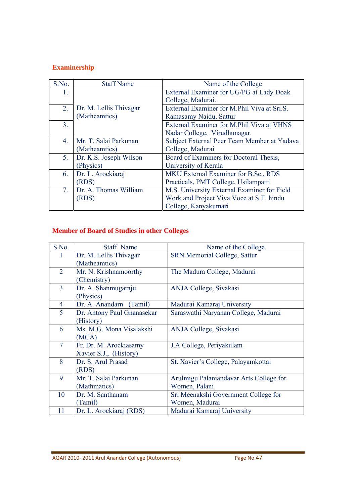# **Examinership**

| S.No.          | <b>Staff Name</b>      | Name of the College                         |
|----------------|------------------------|---------------------------------------------|
| 1.             |                        | External Examiner for UG/PG at Lady Doak    |
|                |                        | College, Madurai.                           |
| 2.             | Dr. M. Lellis Thivagar | External Examiner for M.Phil Viva at Sri.S. |
|                | (Matheamtics)          | Ramasamy Naidu, Sattur                      |
| 3 <sub>1</sub> |                        | External Examiner for M.Phil Viva at VHNS   |
|                |                        | Nadar College, Virudhunagar.                |
| 4.             | Mr. T. Salai Parkunan  | Subject External Peer Team Member at Yadava |
|                | (Matheamtics)          | College, Madurai                            |
| 5.             | Dr. K.S. Joseph Wilson | Board of Examiners for Doctoral Thesis,     |
|                | (Physics)              | University of Kerala                        |
| 6.             | Dr. L. Arockiaraj      | MKU External Examiner for B.Sc., RDS        |
|                | (RDS)                  | Practicals, PMT College, Usilampatti        |
| 7 <sub>1</sub> | Dr. A. Thomas William  | M.S. University External Examiner for Field |
|                | (RDS)                  | Work and Project Viva Voce at S.T. hindu    |
|                |                        | College, Kanyakumari                        |

# **Member of Board of Studies in other Colleges**

| S.No.          | <b>Staff Name</b>          | Name of the College                     |
|----------------|----------------------------|-----------------------------------------|
|                | Dr. M. Lellis Thivagar     | <b>SRN Memorial College, Sattur</b>     |
|                | (Matheamtics)              |                                         |
| $\overline{2}$ | Mr. N. Krishnamoorthy      | The Madura College, Madurai             |
|                | (Chemistry)                |                                         |
| $\overline{3}$ | Dr. A. Shanmugaraju        | ANJA College, Sivakasi                  |
|                | (Physics)                  |                                         |
| 4              | Dr. A. Anandarn (Tamil)    | Madurai Kamaraj University              |
| 5              | Dr. Antony Paul Gnanasekar | Saraswathi Naryanan College, Madurai    |
|                | (History)                  |                                         |
| 6              | Ms. M.G. Mona Visalakshi   | ANJA College, Sivakasi                  |
|                | (MCA)                      |                                         |
| $\overline{7}$ | Fr. Dr. M. Arockiasamy     | J.A College, Periyakulam                |
|                | Xavier S.J., (History)     |                                         |
| 8              | Dr. S. Arul Prasad         | St. Xavier's College, Palayamkottai     |
|                | (RDS)                      |                                         |
| 9              | Mr. T. Salai Parkunan      | Arulmigu Palaniandavar Arts College for |
|                | (Mathmatics)               | Women, Palani                           |
| 10             | Dr. M. Santhanam           | Sri Meenakshi Government College for    |
|                | (Tamil)                    | Women, Madurai                          |
| 11             | Dr. L. Arockiaraj (RDS)    | Madurai Kamaraj University              |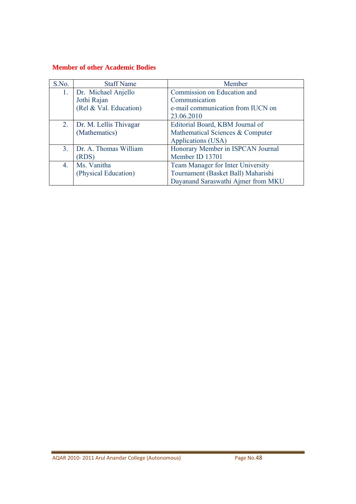### **Member of other Academic Bodies**

| S.No.            | <b>Staff Name</b>      | Member                                   |
|------------------|------------------------|------------------------------------------|
| 1.               | Dr. Michael Anjello    | Commission on Education and              |
|                  | Jothi Rajan            | Communication                            |
|                  | (Rel & Val. Education) | e-mail communication from IUCN on        |
|                  |                        | 23.06.2010                               |
| 2.               | Dr. M. Lellis Thivagar | Editorial Board, KBM Journal of          |
|                  | (Mathematics)          | Mathematical Sciences & Computer         |
|                  |                        | Applications (USA)                       |
| 3 <sub>1</sub>   | Dr. A. Thomas William  | Honorary Member in ISPCAN Journal        |
|                  | <b>RDS</b> )           | Member ID 13701                          |
| $\overline{4}$ . | Ms. Vanitha            | <b>Team Manager for Inter University</b> |
|                  | (Physical Education)   | Tournament (Basket Ball) Maharishi       |
|                  |                        | Dayanand Saraswathi Ajmer from MKU       |